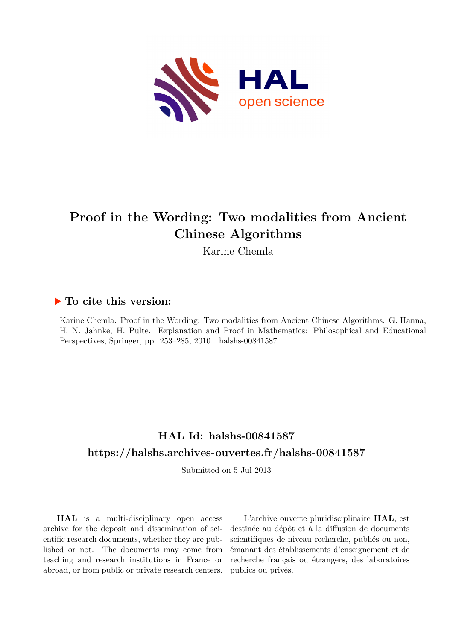

# **Proof in the Wording: Two modalities from Ancient Chinese Algorithms**

Karine Chemla

#### **To cite this version:**

Karine Chemla. Proof in the Wording: Two modalities from Ancient Chinese Algorithms. G. Hanna, H. N. Jahnke, H. Pulte. Explanation and Proof in Mathematics: Philosophical and Educational Perspectives, Springer, pp. 253-285, 2010. halshs-00841587

# **HAL Id: halshs-00841587 <https://halshs.archives-ouvertes.fr/halshs-00841587>**

Submitted on 5 Jul 2013

**HAL** is a multi-disciplinary open access archive for the deposit and dissemination of scientific research documents, whether they are published or not. The documents may come from teaching and research institutions in France or abroad, or from public or private research centers.

L'archive ouverte pluridisciplinaire **HAL**, est destinée au dépôt et à la diffusion de documents scientifiques de niveau recherche, publiés ou non, émanant des établissements d'enseignement et de recherche français ou étrangers, des laboratoires publics ou privés.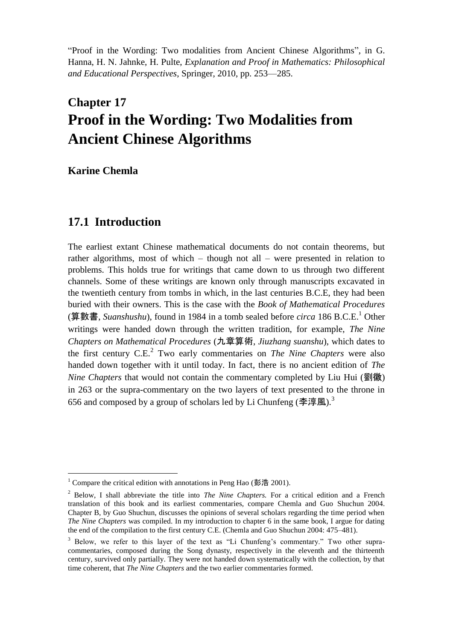"Proof in the Wording: Two modalities from Ancient Chinese Algorithms", in G. Hanna, H. N. Jahnke, H. Pulte, *Explanation and Proof in Mathematics: Philosophical and Educational Perspectives*, Springer, 2010, pp. 253—285.

# **Chapter 17 Proof in the Wording: Two Modalities from Ancient Chinese Algorithms**

**Karine Chemla**

<u>.</u>

#### **17.1 Introduction**

The earliest extant Chinese mathematical documents do not contain theorems, but rather algorithms, most of which – though not all – were presented in relation to problems. This holds true for writings that came down to us through two different channels. Some of these writings are known only through manuscripts excavated in the twentieth century from tombs in which, in the last centuries B.C.E, they had been buried with their owners. This is the case with the *Book of Mathematical Procedures*  (算數書, *Suanshushu*), found in 1984 in a tomb sealed before *circa* 186 B.C.E.<sup>1</sup> Other writings were handed down through the written tradition, for example, *The Nine Chapters on Mathematical Procedures* (九章算術, *Jiuzhang suanshu*), which dates to the first century C.E.<sup>2</sup> Two early commentaries on *The Nine Chapters* were also handed down together with it until today. In fact, there is no ancient edition of *The Nine Chapters* that would not contain the commentary completed by Liu Hui (劉徽) in 263 or the supra-commentary on the two layers of text presented to the throne in 656 and composed by a group of scholars led by Li Chunfeng (李淳風).<sup>3</sup>

 $1$  Compare the critical edition with annotations in Peng Hao (彭浩 2001).

<sup>2</sup> Below, I shall abbreviate the title into *The Nine Chapters.* For a critical edition and a French translation of this book and its earliest commentaries, compare Chemla and Guo Shuchun 2004. Chapter B, by Guo Shuchun, discusses the opinions of several scholars regarding the time period when *The Nine Chapters* was compiled. In my introduction to chapter 6 in the same book, I argue for dating the end of the compilation to the first century C.E. (Chemla and Guo Shuchun 2004: 475–481).

<sup>&</sup>lt;sup>3</sup> Below, we refer to this layer of the text as "Li Chunfeng's commentary." Two other supracommentaries, composed during the Song dynasty, respectively in the eleventh and the thirteenth century, survived only partially. They were not handed down systematically with the collection, by that time coherent, that *The Nine Chapters* and the two earlier commentaries formed.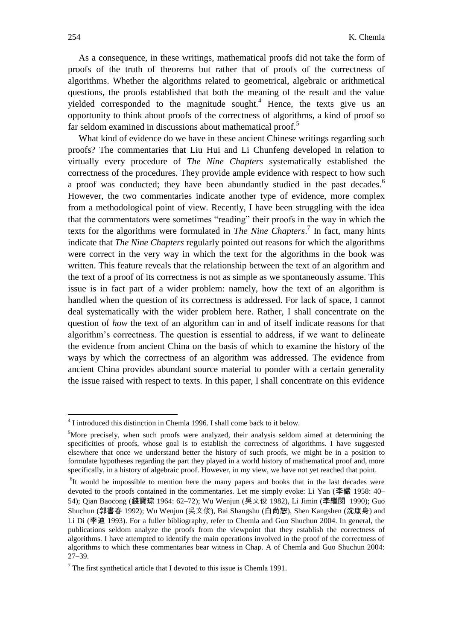As a consequence, in these writings, mathematical proofs did not take the form of proofs of the truth of theorems but rather that of proofs of the correctness of algorithms. Whether the algorithms related to geometrical, algebraic or arithmetical questions, the proofs established that both the meaning of the result and the value yielded corresponded to the magnitude sought.<sup>4</sup> Hence, the texts give us an opportunity to think about proofs of the correctness of algorithms, a kind of proof so far seldom examined in discussions about mathematical proof.<sup>5</sup>

What kind of evidence do we have in these ancient Chinese writings regarding such proofs? The commentaries that Liu Hui and Li Chunfeng developed in relation to virtually every procedure of *The Nine Chapters* systematically established the correctness of the procedures. They provide ample evidence with respect to how such a proof was conducted; they have been abundantly studied in the past decades.<sup>6</sup> However, the two commentaries indicate another type of evidence, more complex from a methodological point of view. Recently, I have been struggling with the idea that the commentators were sometimes "reading" their proofs in the way in which the texts for the algorithms were formulated in *The Nine Chapters*. 7 In fact, many hints indicate that *The Nine Chapters* regularly pointed out reasons for which the algorithms were correct in the very way in which the text for the algorithms in the book was written. This feature reveals that the relationship between the text of an algorithm and the text of a proof of its correctness is not as simple as we spontaneously assume. This issue is in fact part of a wider problem: namely, how the text of an algorithm is handled when the question of its correctness is addressed. For lack of space, I cannot deal systematically with the wider problem here. Rather, I shall concentrate on the question of *how* the text of an algorithm can in and of itself indicate reasons for that algorithm's correctness. The question is essential to address, if we want to delineate the evidence from ancient China on the basis of which to examine the history of the ways by which the correctness of an algorithm was addressed. The evidence from ancient China provides abundant source material to ponder with a certain generality the issue raised with respect to texts. In this paper, I shall concentrate on this evidence

<sup>&</sup>lt;sup>4</sup> I introduced this distinction in Chemla 1996. I shall come back to it below.

 $5$ More precisely, when such proofs were analyzed, their analysis seldom aimed at determining the specificities of proofs, whose goal is to establish the correctness of algorithms. I have suggested elsewhere that once we understand better the history of such proofs, we might be in a position to formulate hypotheses regarding the part they played in a world history of mathematical proof and, more specifically, in a history of algebraic proof. However, in my view, we have not yet reached that point.

<sup>&</sup>lt;sup>6</sup>It would be impossible to mention here the many papers and books that in the last decades were devoted to the proofs contained in the commentaries. Let me simply evoke: Li Yan (李儼 1958: 40– 54); Qian Baocong (錢寶琮 1964: 62–72); Wu Wenjun (吳文俊 1982), Li Jimin (李繼閔 1990); Guo Shuchun (郭書春 1992); Wu Wenjun (吳文俊), Bai Shangshu (白尚恕), Shen Kangshen (沈康身) and Li Di (李迪 1993). For a fuller bibliography, refer to Chemla and Guo Shuchun 2004. In general, the publications seldom analyze the proofs from the viewpoint that they establish the correctness of algorithms. I have attempted to identify the main operations involved in the proof of the correctness of algorithms to which these commentaries bear witness in Chap. A of Chemla and Guo Shuchun 2004: 27–39.

 $<sup>7</sup>$  The first synthetical article that I devoted to this issue is Chemla 1991.</sup>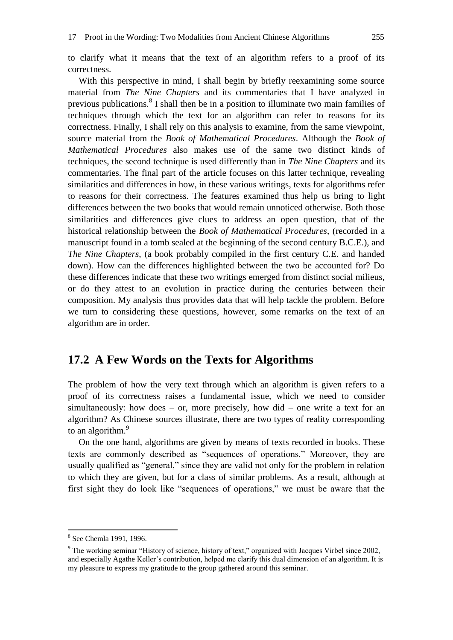to clarify what it means that the text of an algorithm refers to a proof of its correctness.

With this perspective in mind, I shall begin by briefly reexamining some source material from *The Nine Chapters* and its commentaries that I have analyzed in previous publications.<sup>8</sup> I shall then be in a position to illuminate two main families of techniques through which the text for an algorithm can refer to reasons for its correctness. Finally, I shall rely on this analysis to examine, from the same viewpoint, source material from the *Book of Mathematical Procedures*. Although the *Book of Mathematical Procedures* also makes use of the same two distinct kinds of techniques, the second technique is used differently than in *The Nine Chapters* and its commentaries. The final part of the article focuses on this latter technique, revealing similarities and differences in how, in these various writings, texts for algorithms refer to reasons for their correctness. The features examined thus help us bring to light differences between the two books that would remain unnoticed otherwise. Both those similarities and differences give clues to address an open question, that of the historical relationship between the *Book of Mathematical Procedures*, (recorded in a manuscript found in a tomb sealed at the beginning of the second century B.C.E.), and *The Nine Chapters*, (a book probably compiled in the first century C.E. and handed down). How can the differences highlighted between the two be accounted for? Do these differences indicate that these two writings emerged from distinct social milieus, or do they attest to an evolution in practice during the centuries between their composition. My analysis thus provides data that will help tackle the problem. Before we turn to considering these questions, however, some remarks on the text of an algorithm are in order.

#### **17.2 A Few Words on the Texts for Algorithms**

The problem of how the very text through which an algorithm is given refers to a proof of its correctness raises a fundamental issue, which we need to consider simultaneously: how does  $-$  or, more precisely, how did  $-$  one write a text for an algorithm? As Chinese sources illustrate, there are two types of reality corresponding to an algorithm.<sup>9</sup>

On the one hand, algorithms are given by means of texts recorded in books. These texts are commonly described as "sequences of operations." Moreover, they are usually qualified as "general," since they are valid not only for the problem in relation to which they are given, but for a class of similar problems. As a result, although at first sight they do look like "sequences of operations," we must be aware that the

<sup>&</sup>lt;sup>8</sup> See Chemla 1991, 1996.

<sup>&</sup>lt;sup>9</sup> The working seminar "History of science, history of text," organized with Jacques Virbel since 2002, and especially Agathe Keller's contribution, helped me clarify this dual dimension of an algorithm. It is my pleasure to express my gratitude to the group gathered around this seminar.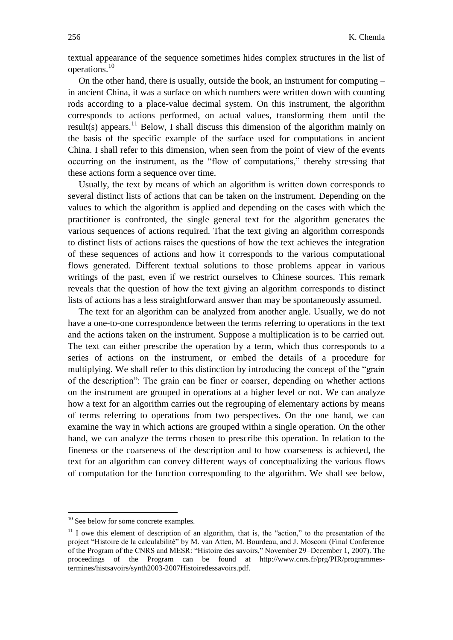textual appearance of the sequence sometimes hides complex structures in the list of operations.<sup>10</sup>

On the other hand, there is usually, outside the book, an instrument for computing – in ancient China, it was a surface on which numbers were written down with counting rods according to a place-value decimal system. On this instrument, the algorithm corresponds to actions performed, on actual values, transforming them until the result(s) appears.<sup>11</sup> Below, I shall discuss this dimension of the algorithm mainly on the basis of the specific example of the surface used for computations in ancient China. I shall refer to this dimension, when seen from the point of view of the events occurring on the instrument, as the "flow of computations," thereby stressing that these actions form a sequence over time.

Usually, the text by means of which an algorithm is written down corresponds to several distinct lists of actions that can be taken on the instrument. Depending on the values to which the algorithm is applied and depending on the cases with which the practitioner is confronted, the single general text for the algorithm generates the various sequences of actions required. That the text giving an algorithm corresponds to distinct lists of actions raises the questions of how the text achieves the integration of these sequences of actions and how it corresponds to the various computational flows generated. Different textual solutions to those problems appear in various writings of the past, even if we restrict ourselves to Chinese sources. This remark reveals that the question of how the text giving an algorithm corresponds to distinct lists of actions has a less straightforward answer than may be spontaneously assumed.

The text for an algorithm can be analyzed from another angle. Usually, we do not have a one-to-one correspondence between the terms referring to operations in the text and the actions taken on the instrument. Suppose a multiplication is to be carried out. The text can either prescribe the operation by a term, which thus corresponds to a series of actions on the instrument, or embed the details of a procedure for multiplying. We shall refer to this distinction by introducing the concept of the "grain of the description": The grain can be finer or coarser, depending on whether actions on the instrument are grouped in operations at a higher level or not. We can analyze how a text for an algorithm carries out the regrouping of elementary actions by means of terms referring to operations from two perspectives. On the one hand, we can examine the way in which actions are grouped within a single operation. On the other hand, we can analyze the terms chosen to prescribe this operation. In relation to the fineness or the coarseness of the description and to how coarseness is achieved, the text for an algorithm can convey different ways of conceptualizing the various flows of computation for the function corresponding to the algorithm. We shall see below,

<sup>&</sup>lt;sup>10</sup> See below for some concrete examples.

 $11$  I owe this element of description of an algorithm, that is, the "action," to the presentation of the project "Histoire de la calculabilité" by M. van Atten, M. Bourdeau, and J. Mosconi (Final Conference of the Program of the CNRS and MESR: "Histoire des savoirs," November 29–December 1, 2007). The proceedings of the Program can be found at http://www.cnrs.fr/prg/PIR/programmestermines/histsavoirs/synth2003-2007Histoiredessavoirs.pdf.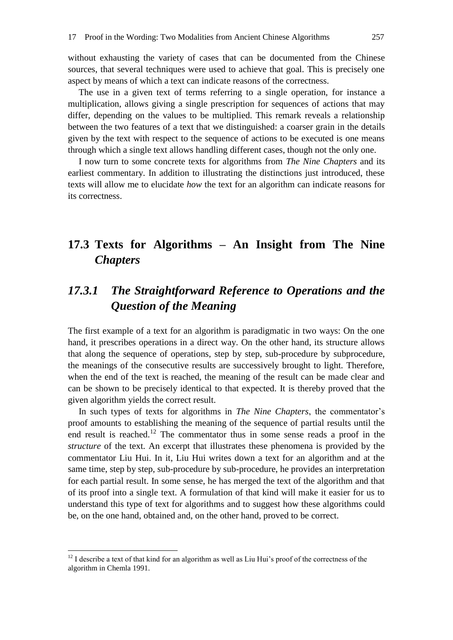without exhausting the variety of cases that can be documented from the Chinese sources, that several techniques were used to achieve that goal. This is precisely one aspect by means of which a text can indicate reasons of the correctness.

The use in a given text of terms referring to a single operation, for instance a multiplication, allows giving a single prescription for sequences of actions that may differ, depending on the values to be multiplied. This remark reveals a relationship between the two features of a text that we distinguished: a coarser grain in the details given by the text with respect to the sequence of actions to be executed is one means through which a single text allows handling different cases, though not the only one.

I now turn to some concrete texts for algorithms from *The Nine Chapters* and its earliest commentary. In addition to illustrating the distinctions just introduced, these texts will allow me to elucidate *how* the text for an algorithm can indicate reasons for its correctness.

### **17.3 Texts for Algorithms – An Insight from The Nine**  *Chapters*

### *17.3.1 The Straightforward Reference to Operations and the Question of the Meaning*

The first example of a text for an algorithm is paradigmatic in two ways: On the one hand, it prescribes operations in a direct way. On the other hand, its structure allows that along the sequence of operations, step by step, sub-procedure by subprocedure, the meanings of the consecutive results are successively brought to light. Therefore, when the end of the text is reached, the meaning of the result can be made clear and can be shown to be precisely identical to that expected. It is thereby proved that the given algorithm yields the correct result.

In such types of texts for algorithms in *The Nine Chapters*, the commentator's proof amounts to establishing the meaning of the sequence of partial results until the end result is reached.<sup>12</sup> The commentator thus in some sense reads a proof in the *structure* of the text. An excerpt that illustrates these phenomena is provided by the commentator Liu Hui. In it, Liu Hui writes down a text for an algorithm and at the same time, step by step, sub-procedure by sub-procedure, he provides an interpretation for each partial result. In some sense, he has merged the text of the algorithm and that of its proof into a single text. A formulation of that kind will make it easier for us to understand this type of text for algorithms and to suggest how these algorithms could be, on the one hand, obtained and, on the other hand, proved to be correct.

<sup>&</sup>lt;sup>12</sup> I describe a text of that kind for an algorithm as well as Liu Hui's proof of the correctness of the algorithm in Chemla 1991.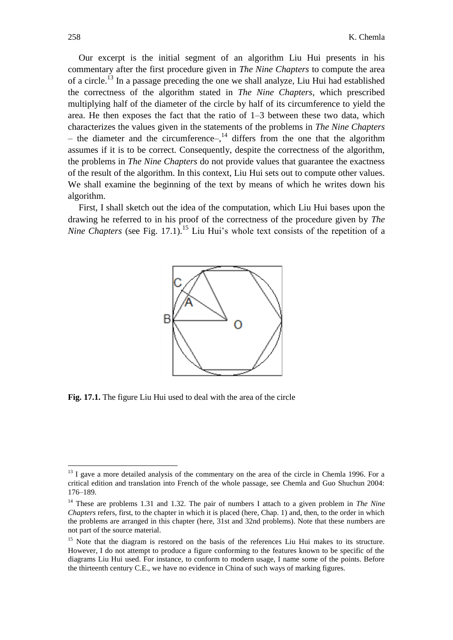Our excerpt is the initial segment of an algorithm Liu Hui presents in his commentary after the first procedure given in *The Nine Chapters* to compute the area of a circle.<sup>13</sup> In a passage preceding the one we shall analyze, Liu Hui had established the correctness of the algorithm stated in *The Nine Chapters*, which prescribed multiplying half of the diameter of the circle by half of its circumference to yield the area. He then exposes the fact that the ratio of 1–3 between these two data, which characterizes the values given in the statements of the problems in *The Nine Chapters*  – the diameter and the circumference–,<sup>14</sup> differs from the one that the algorithm assumes if it is to be correct. Consequently, despite the correctness of the algorithm, the problems in *The Nine Chapters* do not provide values that guarantee the exactness of the result of the algorithm. In this context, Liu Hui sets out to compute other values. We shall examine the beginning of the text by means of which he writes down his algorithm.

First, I shall sketch out the idea of the computation, which Liu Hui bases upon the drawing he referred to in his proof of the correctness of the procedure given by *The Nine Chapters* (see Fig. 17.1).<sup>15</sup> Liu Hui's whole text consists of the repetition of a



**Fig. 17.1.** The figure Liu Hui used to deal with the area of the circle

<sup>&</sup>lt;sup>13</sup> I gave a more detailed analysis of the commentary on the area of the circle in Chemla 1996. For a critical edition and translation into French of the whole passage, see Chemla and Guo Shuchun 2004: 176–189.

<sup>&</sup>lt;sup>14</sup> These are problems 1.31 and 1.32. The pair of numbers I attach to a given problem in *The Nine Chapters* refers, first, to the chapter in which it is placed (here, Chap. 1) and, then, to the order in which the problems are arranged in this chapter (here, 31st and 32nd problems). Note that these numbers are not part of the source material.

<sup>&</sup>lt;sup>15</sup> Note that the diagram is restored on the basis of the references Liu Hui makes to its structure. However, I do not attempt to produce a figure conforming to the features known to be specific of the diagrams Liu Hui used. For instance, to conform to modern usage, I name some of the points. Before the thirteenth century C.E., we have no evidence in China of such ways of marking figures.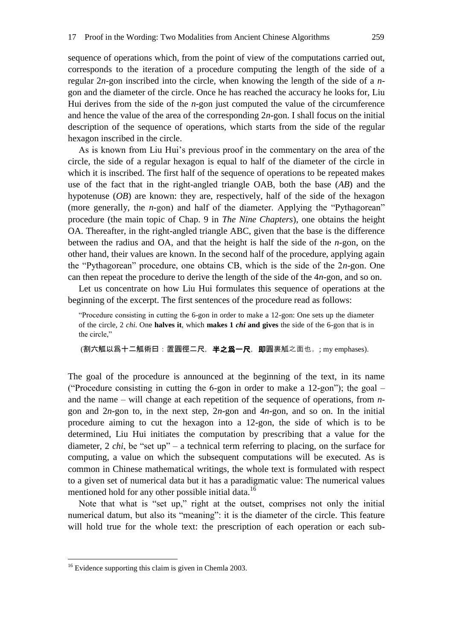sequence of operations which, from the point of view of the computations carried out, corresponds to the iteration of a procedure computing the length of the side of a regular 2*n*-gon inscribed into the circle, when knowing the length of the side of a *n*gon and the diameter of the circle. Once he has reached the accuracy he looks for, Liu Hui derives from the side of the *n-*gon just computed the value of the circumference and hence the value of the area of the corresponding 2*n*-gon. I shall focus on the initial description of the sequence of operations, which starts from the side of the regular hexagon inscribed in the circle.

As is known from Liu Hui's previous proof in the commentary on the area of the circle, the side of a regular hexagon is equal to half of the diameter of the circle in which it is inscribed. The first half of the sequence of operations to be repeated makes use of the fact that in the right-angled triangle OAB, both the base (*AB*) and the hypotenuse  $(OB)$  are known: they are, respectively, half of the side of the hexagon (more generally, the *n*-gon) and half of the diameter. Applying the "Pythagorean" procedure (the main topic of Chap. 9 in *The Nine Chapters*), one obtains the height OA. Thereafter, in the right-angled triangle ABC, given that the base is the difference between the radius and OA, and that the height is half the side of the *n*-gon, on the other hand, their values are known. In the second half of the procedure, applying again the "Pythagorean" procedure, one obtains CB, which is the side of the 2*n*-gon. One can then repeat the procedure to derive the length of the side of the 4*n*-gon, and so on.

Let us concentrate on how Liu Hui formulates this sequence of operations at the beginning of the excerpt. The first sentences of the procedure read as follows:

"Procedure consisting in cutting the 6-gon in order to make a 12-gon: One sets up the diameter of the circle, 2 *chi*. One **halves it**, which **makes 1** *chi* **and gives** the side of the 6-gon that is in the circle,"

(割六觚以爲十二觚術曰:置圓徑二尺, 半之爲一尺, 即圓裏觚之面也。; my emphases).

The goal of the procedure is announced at the beginning of the text, in its name ("Procedure consisting in cutting the 6-gon in order to make a 12-gon"); the goal – and the name – will change at each repetition of the sequence of operations, from *n*gon and 2*n*-gon to, in the next step, 2*n*-gon and 4*n*-gon, and so on. In the initial procedure aiming to cut the hexagon into a 12-gon, the side of which is to be determined, Liu Hui initiates the computation by prescribing that a value for the diameter, 2 *chi*, be "set up" – a technical term referring to placing, on the surface for computing, a value on which the subsequent computations will be executed. As is common in Chinese mathematical writings, the whole text is formulated with respect to a given set of numerical data but it has a paradigmatic value: The numerical values mentioned hold for any other possible initial data.<sup>16</sup>

Note that what is "set up," right at the outset, comprises not only the initial numerical datum, but also its "meaning": it is the diameter of the circle. This feature will hold true for the whole text: the prescription of each operation or each sub-

<sup>&</sup>lt;sup>16</sup> Evidence supporting this claim is given in Chemla 2003.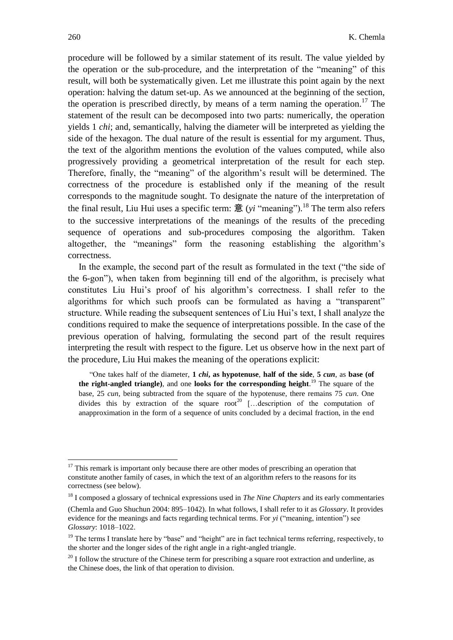procedure will be followed by a similar statement of its result. The value yielded by the operation or the sub-procedure, and the interpretation of the "meaning" of this result, will both be systematically given. Let me illustrate this point again by the next operation: halving the datum set-up. As we announced at the beginning of the section, the operation is prescribed directly, by means of a term naming the operation.<sup>17</sup> The statement of the result can be decomposed into two parts: numerically, the operation yields 1 *chi*; and, semantically, halving the diameter will be interpreted as yielding the side of the hexagon. The dual nature of the result is essential for my argument. Thus, the text of the algorithm mentions the evolution of the values computed, while also progressively providing a geometrical interpretation of the result for each step. Therefore, finally, the "meaning" of the algorithm's result will be determined. The correctness of the procedure is established only if the meaning of the result corresponds to the magnitude sought. To designate the nature of the interpretation of the final result, Liu Hui uses a specific term:  $\tilde{a}$  (*yi* "meaning").<sup>18</sup> The term also refers to the successive interpretations of the meanings of the results of the preceding sequence of operations and sub-procedures composing the algorithm. Taken altogether, the "meanings" form the reasoning establishing the algorithm's correctness.

In the example, the second part of the result as formulated in the text ("the side of the 6-gon"), when taken from beginning till end of the algorithm, is precisely what constitutes Liu Hui's proof of his algorithm's correctness. I shall refer to the algorithms for which such proofs can be formulated as having a "transparent" structure. While reading the subsequent sentences of Liu Hui's text, I shall analyze the conditions required to make the sequence of interpretations possible. In the case of the previous operation of halving, formulating the second part of the result requires interpreting the result with respect to the figure. Let us observe how in the next part of the procedure, Liu Hui makes the meaning of the operations explicit:

"One takes half of the diameter, **1** *chi***, as hypotenuse**, **half of the side**, **5** *cun*, as **base (of the right-angled triangle)**, and one **looks for the corresponding height**. <sup>19</sup> The square of the base, 25 *cun*, being subtracted from the square of the hypotenuse, there remains 75 *cun*. One divides this by extraction of the square root<sup>20</sup> [... description of the computation of anapproximation in the form of a sequence of units concluded by a decimal fraction, in the end

 $17$  This remark is important only because there are other modes of prescribing an operation that constitute another family of cases, in which the text of an algorithm refers to the reasons for its correctness (see below).

<sup>18</sup> I composed a glossary of technical expressions used in *The Nine Chapters* and its early commentaries

<sup>(</sup>Chemla and Guo Shuchun 2004: 895–1042). In what follows, I shall refer to it as *Glossary*. It provides evidence for the meanings and facts regarding technical terms. For *yi* ("meaning, intention") see *Glossary*: 1018–1022.

<sup>&</sup>lt;sup>19</sup> The terms I translate here by "base" and "height" are in fact technical terms referring, respectively, to the shorter and the longer sides of the right angle in a right-angled triangle.

 $20$  I follow the structure of the Chinese term for prescribing a square root extraction and underline, as the Chinese does, the link of that operation to division.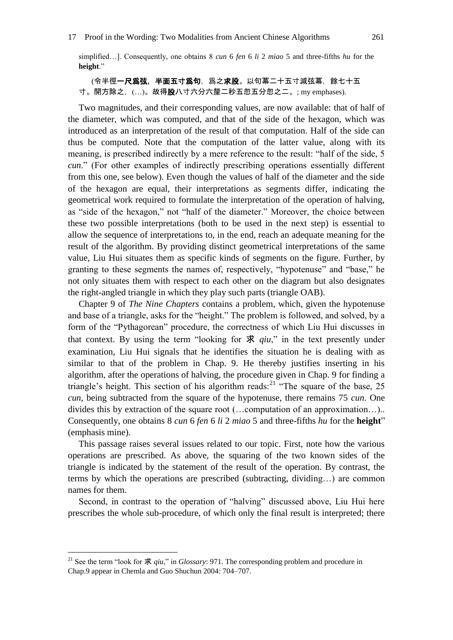simplified…]. Consequently, one obtains 8 *cun* 6 *fen* 6 *li* 2 *miao* 5 and three-fifths *hu* for the **height**."

(令半徑一尺爲弦,半面五寸爲句,爲之求股。以句冪二十五寸減弦冪,餘七十五 寸。開方除之, (…)。故得股八寸六分六釐二秒五忽五分忽之二。; my emphases).

Two magnitudes, and their corresponding values, are now available: that of half of the diameter, which was computed, and that of the side of the hexagon, which was introduced as an interpretation of the result of that computation. Half of the side can thus be computed. Note that the computation of the latter value, along with its meaning, is prescribed indirectly by a mere reference to the result: "half of the side, 5 *cun*." (For other examples of indirectly prescribing operations essentially different from this one, see below). Even though the values of half of the diameter and the side of the hexagon are equal, their interpretations as segments differ, indicating the geometrical work required to formulate the interpretation of the operation of halving, as "side of the hexagon," not "half of the diameter." Moreover, the choice between these two possible interpretations (both to be used in the next step) is essential to allow the sequence of interpretations to, in the end, reach an adequate meaning for the result of the algorithm. By providing distinct geometrical interpretations of the same value, Liu Hui situates them as specific kinds of segments on the figure. Further, by granting to these segments the names of, respectively, "hypotenuse" and "base," he not only situates them with respect to each other on the diagram but also designates the right-angled triangle in which they play such parts (triangle OAB).

Chapter 9 of *The Nine Chapters* contains a problem, which, given the hypotenuse and base of a triangle, asks for the "height." The problem is followed, and solved, by a form of the "Pythagorean" procedure, the correctness of which Liu Hui discusses in that context. By using the term "looking for  $\vec{\mathbf{x}}$  *qiu*," in the text presently under examination, Liu Hui signals that he identifies the situation he is dealing with as similar to that of the problem in Chap. 9. He thereby justifies inserting in his algorithm, after the operations of halving, the procedure given in Chap. 9 for finding a triangle's height. This section of his algorithm reads:  $21$  "The square of the base, 25 *cun*, being subtracted from the square of the hypotenuse, there remains 75 *cun*. One divides this by extraction of the square root (…computation of an approximation…).. Consequently, one obtains 8 *cun* 6 *fen* 6 *li* 2 *miao* 5 and three-fifths *hu* for the **height**" (emphasis mine).

This passage raises several issues related to our topic. First, note how the various operations are prescribed. As above, the squaring of the two known sides of the triangle is indicated by the statement of the result of the operation. By contrast, the terms by which the operations are prescribed (subtracting, dividing…) are common names for them.

Second, in contrast to the operation of "halving" discussed above, Liu Hui here prescribes the whole sub-procedure, of which only the final result is interpreted; there

<sup>21</sup> See the term "look for 求 *qiu*," in *Glossary*: 971. The corresponding problem and procedure in Chap.9 appear in Chemla and Guo Shuchun 2004: 704–707.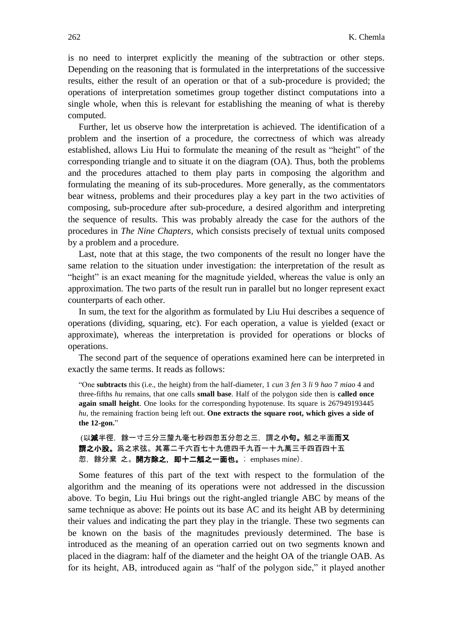is no need to interpret explicitly the meaning of the subtraction or other steps. Depending on the reasoning that is formulated in the interpretations of the successive results, either the result of an operation or that of a sub-procedure is provided; the operations of interpretation sometimes group together distinct computations into a single whole, when this is relevant for establishing the meaning of what is thereby computed.

Further, let us observe how the interpretation is achieved. The identification of a problem and the insertion of a procedure, the correctness of which was already established, allows Liu Hui to formulate the meaning of the result as "height" of the corresponding triangle and to situate it on the diagram (OA). Thus, both the problems and the procedures attached to them play parts in composing the algorithm and formulating the meaning of its sub-procedures. More generally, as the commentators bear witness, problems and their procedures play a key part in the two activities of composing, sub-procedure after sub-procedure, a desired algorithm and interpreting the sequence of results. This was probably already the case for the authors of the procedures in *The Nine Chapters*, which consists precisely of textual units composed by a problem and a procedure.

Last, note that at this stage, the two components of the result no longer have the same relation to the situation under investigation: the interpretation of the result as "height" is an exact meaning for the magnitude yielded, whereas the value is only an approximation. The two parts of the result run in parallel but no longer represent exact counterparts of each other.

In sum, the text for the algorithm as formulated by Liu Hui describes a sequence of operations (dividing, squaring, etc). For each operation, a value is yielded (exact or approximate), whereas the interpretation is provided for operations or blocks of operations.

The second part of the sequence of operations examined here can be interpreted in exactly the same terms. It reads as follows:

"One **subtracts** this (i.e., the height) from the half-diameter, 1 *cun* 3 *fen* 3 *li* 9 *hao* 7 *miao* 4 and three-fifths *hu* remains, that one calls **small base**. Half of the polygon side then is **called once again small height**. One looks for the corresponding hypotenuse. Its square is 267949193445 *hu*, the remaining fraction being left out. **One extracts the square root, which gives a side of the 12-gon.**"

(以減半徑,餘一寸三分三釐九毫七秒四忽五分忽之三,謂之小句。觚之半面而又 謂之小股。爲之求弦。其冪二千六百七十九億四千九百一十九萬三千四百四十五 忽, 餘分棄 之。開方除之, 即十二觚之一面也。; emphases mine).

Some features of this part of the text with respect to the formulation of the algorithm and the meaning of its operations were not addressed in the discussion above. To begin, Liu Hui brings out the right-angled triangle ABC by means of the same technique as above: He points out its base AC and its height AB by determining their values and indicating the part they play in the triangle. These two segments can be known on the basis of the magnitudes previously determined. The base is introduced as the meaning of an operation carried out on two segments known and placed in the diagram: half of the diameter and the height OA of the triangle OAB. As for its height, AB, introduced again as "half of the polygon side," it played another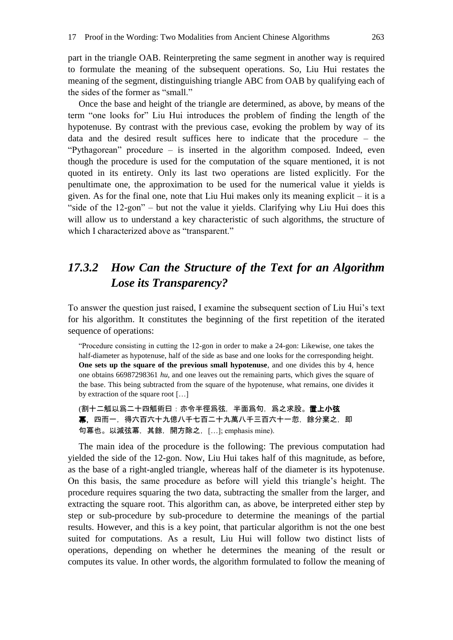part in the triangle OAB. Reinterpreting the same segment in another way is required to formulate the meaning of the subsequent operations. So, Liu Hui restates the meaning of the segment, distinguishing triangle ABC from OAB by qualifying each of the sides of the former as "small."

Once the base and height of the triangle are determined, as above, by means of the term "one looks for" Liu Hui introduces the problem of finding the length of the hypotenuse. By contrast with the previous case, evoking the problem by way of its data and the desired result suffices here to indicate that the procedure – the "Pythagorean" procedure – is inserted in the algorithm composed. Indeed, even though the procedure is used for the computation of the square mentioned, it is not quoted in its entirety. Only its last two operations are listed explicitly. For the penultimate one, the approximation to be used for the numerical value it yields is given. As for the final one, note that Liu Hui makes only its meaning explicit  $-$  it is a "side of the 12-gon" – but not the value it yields. Clarifying why Liu Hui does this will allow us to understand a key characteristic of such algorithms, the structure of which I characterized above as "transparent."

## *17.3.2 How Can the Structure of the Text for an Algorithm Lose its Transparency?*

To answer the question just raised, I examine the subsequent section of Liu Hui's text for his algorithm. It constitutes the beginning of the first repetition of the iterated sequence of operations:

"Procedure consisting in cutting the 12-gon in order to make a 24-gon: Likewise, one takes the half-diameter as hypotenuse, half of the side as base and one looks for the corresponding height. **One sets up the square of the previous small hypotenuse**, and one divides this by 4, hence one obtains 66987298361 *hu,* and one leaves out the remaining parts, which gives the square of the base. This being subtracted from the square of the hypotenuse, what remains, one divides it by extraction of the square root […]

(割十二觚以爲二十四觚術曰:亦令半徑爲弦,半面爲句,爲之求股。置上小弦 冪,四而一,得六百六十九億八千七百二十九萬八千三百六十一忽,餘分棄之,即 句冪也。以減弦冪,其餘,開方除之, […]; emphasis mine).

The main idea of the procedure is the following: The previous computation had yielded the side of the 12-gon. Now, Liu Hui takes half of this magnitude, as before, as the base of a right-angled triangle, whereas half of the diameter is its hypotenuse. On this basis, the same procedure as before will yield this triangle's height. The procedure requires squaring the two data, subtracting the smaller from the larger, and extracting the square root. This algorithm can, as above, be interpreted either step by step or sub-procedure by sub-procedure to determine the meanings of the partial results. However, and this is a key point, that particular algorithm is not the one best suited for computations. As a result, Liu Hui will follow two distinct lists of operations, depending on whether he determines the meaning of the result or computes its value. In other words, the algorithm formulated to follow the meaning of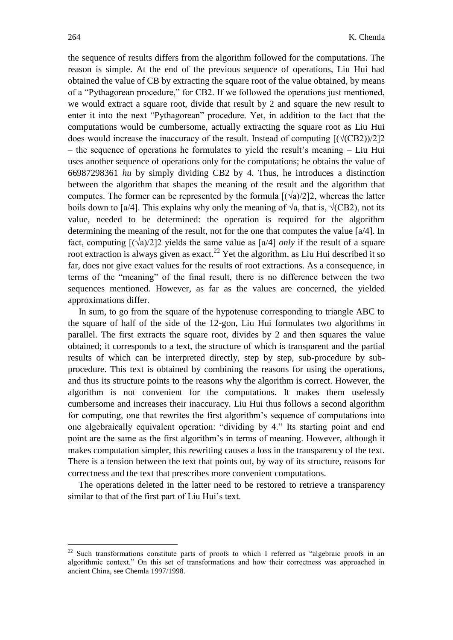the sequence of results differs from the algorithm followed for the computations. The reason is simple. At the end of the previous sequence of operations, Liu Hui had obtained the value of CB by extracting the square root of the value obtained, by means of a "Pythagorean procedure," for CB2. If we followed the operations just mentioned, we would extract a square root, divide that result by 2 and square the new result to enter it into the next "Pythagorean" procedure. Yet, in addition to the fact that the computations would be cumbersome, actually extracting the square root as Liu Hui does would increase the inaccuracy of the result. Instead of computing  $[(\sqrt{C}B2))/2]2$ – the sequence of operations he formulates to yield the result's meaning – Liu Hui uses another sequence of operations only for the computations; he obtains the value of 66987298361 *hu* by simply dividing CB2 by 4. Thus, he introduces a distinction between the algorithm that shapes the meaning of the result and the algorithm that computes. The former can be represented by the formula  $[(\sqrt{a})/2]$ , whereas the latter boils down to [a/4]. This explains why only the meaning of  $\sqrt{a}$ , that is,  $\sqrt{(CB2)}$ , not its value, needed to be determined: the operation is required for the algorithm determining the meaning of the result, not for the one that computes the value [a/4]. In fact, computing  $\lceil (\sqrt{a})/2 \rceil$  yields the same value as  $\lceil a/4 \rceil$  *only* if the result of a square root extraction is always given as exact.<sup>22</sup> Yet the algorithm, as Liu Hui described it so far, does not give exact values for the results of root extractions. As a consequence, in terms of the "meaning" of the final result, there is no difference between the two sequences mentioned. However, as far as the values are concerned, the yielded approximations differ.

In sum, to go from the square of the hypotenuse corresponding to triangle ABC to the square of half of the side of the 12-gon, Liu Hui formulates two algorithms in parallel. The first extracts the square root, divides by 2 and then squares the value obtained; it corresponds to a text, the structure of which is transparent and the partial results of which can be interpreted directly, step by step, sub-procedure by subprocedure. This text is obtained by combining the reasons for using the operations, and thus its structure points to the reasons why the algorithm is correct. However, the algorithm is not convenient for the computations. It makes them uselessly cumbersome and increases their inaccuracy. Liu Hui thus follows a second algorithm for computing, one that rewrites the first algorithm's sequence of computations into one algebraically equivalent operation: "dividing by 4." Its starting point and end point are the same as the first algorithm's in terms of meaning. However, although it makes computation simpler, this rewriting causes a loss in the transparency of the text. There is a tension between the text that points out, by way of its structure, reasons for correctness and the text that prescribes more convenient computations.

The operations deleted in the latter need to be restored to retrieve a transparency similar to that of the first part of Liu Hui's text.

<sup>&</sup>lt;sup>22</sup> Such transformations constitute parts of proofs to which I referred as "algebraic proofs in an algorithmic context." On this set of transformations and how their correctness was approached in ancient China, see Chemla 1997/1998.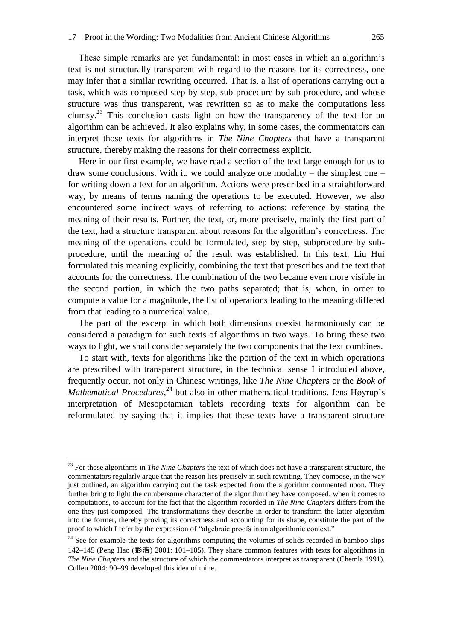These simple remarks are yet fundamental: in most cases in which an algorithm's text is not structurally transparent with regard to the reasons for its correctness, one may infer that a similar rewriting occurred. That is, a list of operations carrying out a task, which was composed step by step, sub-procedure by sub-procedure, and whose structure was thus transparent, was rewritten so as to make the computations less clumsy.<sup>23</sup> This conclusion casts light on how the transparency of the text for an algorithm can be achieved. It also explains why, in some cases, the commentators can interpret those texts for algorithms in *The Nine Chapters* that have a transparent structure, thereby making the reasons for their correctness explicit.

Here in our first example, we have read a section of the text large enough for us to draw some conclusions. With it, we could analyze one modality – the simplest one – for writing down a text for an algorithm. Actions were prescribed in a straightforward way, by means of terms naming the operations to be executed. However, we also encountered some indirect ways of referring to actions: reference by stating the meaning of their results. Further, the text, or, more precisely, mainly the first part of the text, had a structure transparent about reasons for the algorithm's correctness. The meaning of the operations could be formulated, step by step, subprocedure by subprocedure, until the meaning of the result was established. In this text, Liu Hui formulated this meaning explicitly, combining the text that prescribes and the text that accounts for the correctness. The combination of the two became even more visible in the second portion, in which the two paths separated; that is, when, in order to compute a value for a magnitude, the list of operations leading to the meaning differed from that leading to a numerical value.

The part of the excerpt in which both dimensions coexist harmoniously can be considered a paradigm for such texts of algorithms in two ways. To bring these two ways to light, we shall consider separately the two components that the text combines.

To start with, texts for algorithms like the portion of the text in which operations are prescribed with transparent structure, in the technical sense I introduced above, frequently occur, not only in Chinese writings, like *The Nine Chapters* or the *Book of Mathematical Procedures*,<sup>24</sup> but also in other mathematical traditions. Jens Høyrup's interpretation of Mesopotamian tablets recording texts for algorithm can be reformulated by saying that it implies that these texts have a transparent structure

<sup>&</sup>lt;sup>23</sup> For those algorithms in *The Nine Chapters* the text of which does not have a transparent structure, the commentators regularly argue that the reason lies precisely in such rewriting. They compose, in the way just outlined, an algorithm carrying out the task expected from the algorithm commented upon. They further bring to light the cumbersome character of the algorithm they have composed, when it comes to computations, to account for the fact that the algorithm recorded in *The Nine Chapters* differs from the one they just composed. The transformations they describe in order to transform the latter algorithm into the former, thereby proving its correctness and accounting for its shape, constitute the part of the proof to which I refer by the expression of "algebraic proofs in an algorithmic context."

 $24$  See for example the texts for algorithms computing the volumes of solids recorded in bamboo slips 142–145 (Peng Hao (彭浩) 2001: 101–105). They share common features with texts for algorithms in *The Nine Chapters* and the structure of which the commentators interpret as transparent (Chemla 1991). Cullen 2004: 90–99 developed this idea of mine.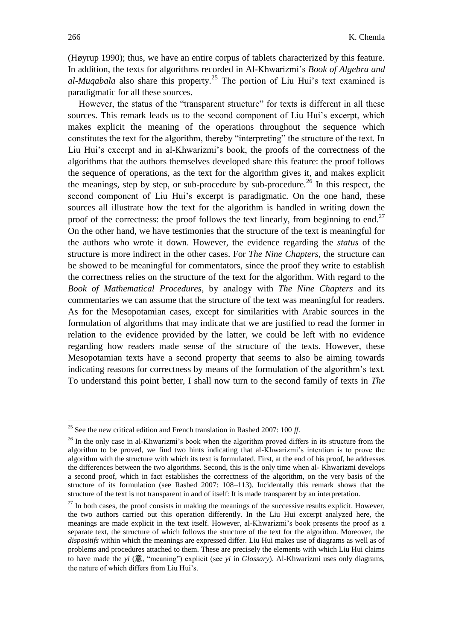(Høyrup 1990); thus, we have an entire corpus of tablets characterized by this feature. In addition, the texts for algorithms recorded in Al-Khwarizmi's *Book of Algebra and al-Muqabala* also share this property.<sup>25</sup> The portion of Liu Hui's text examined is paradigmatic for all these sources.

However, the status of the "transparent structure" for texts is different in all these sources. This remark leads us to the second component of Liu Hui's excerpt, which makes explicit the meaning of the operations throughout the sequence which constitutes the text for the algorithm, thereby "interpreting" the structure of the text. In Liu Hui's excerpt and in al-Khwarizmi's book, the proofs of the correctness of the algorithms that the authors themselves developed share this feature: the proof follows the sequence of operations, as the text for the algorithm gives it, and makes explicit the meanings, step by step, or sub-procedure by sub-procedure.<sup>26</sup> In this respect, the second component of Liu Hui's excerpt is paradigmatic. On the one hand, these sources all illustrate how the text for the algorithm is handled in writing down the proof of the correctness: the proof follows the text linearly, from beginning to end.<sup>27</sup> On the other hand, we have testimonies that the structure of the text is meaningful for the authors who wrote it down. However, the evidence regarding the *status* of the structure is more indirect in the other cases. For *The Nine Chapters*, the structure can be showed to be meaningful for commentators, since the proof they write to establish the correctness relies on the structure of the text for the algorithm. With regard to the *Book of Mathematical Procedures*, by analogy with *The Nine Chapters* and its commentaries we can assume that the structure of the text was meaningful for readers. As for the Mesopotamian cases, except for similarities with Arabic sources in the formulation of algorithms that may indicate that we are justified to read the former in relation to the evidence provided by the latter, we could be left with no evidence regarding how readers made sense of the structure of the texts. However, these Mesopotamian texts have a second property that seems to also be aiming towards indicating reasons for correctness by means of the formulation of the algorithm's text. To understand this point better, I shall now turn to the second family of texts in *The* 

<sup>&</sup>lt;sup>25</sup> See the new critical edition and French translation in Rashed 2007: 100  $ff$ .

<sup>&</sup>lt;sup>26</sup> In the only case in al-Khwarizmi's book when the algorithm proved differs in its structure from the algorithm to be proved, we find two hints indicating that al-Khwarizmi's intention is to prove the algorithm with the structure with which its text is formulated. First, at the end of his proof, he addresses the differences between the two algorithms. Second, this is the only time when al- Khwarizmi develops a second proof, which in fact establishes the correctness of the algorithm, on the very basis of the structure of its formulation (see Rashed 2007: 108–113). Incidentally this remark shows that the structure of the text is not transparent in and of itself: It is made transparent by an interpretation.

 $27$  In both cases, the proof consists in making the meanings of the successive results explicit. However, the two authors carried out this operation differently. In the Liu Hui excerpt analyzed here, the meanings are made explicit in the text itself. However, al-Khwarizmi's book presents the proof as a separate text, the structure of which follows the structure of the text for the algorithm. Moreover, the *dispositifs* within which the meanings are expressed differ. Liu Hui makes use of diagrams as well as of problems and procedures attached to them. These are precisely the elements with which Liu Hui claims to have made the *yi* (意, "meaning") explicit (see *yi* in *Glossary*). Al-Khwarizmi uses only diagrams, the nature of which differs from Liu Hui's.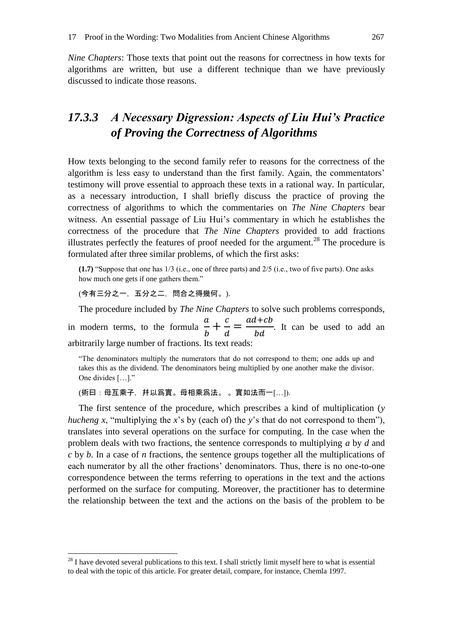*Nine Chapters*: Those texts that point out the reasons for correctness in how texts for algorithms are written, but use a different technique than we have previously discussed to indicate those reasons.

### *17.3.3 A Necessary Digression: Aspects of Liu Hui's Practice of Proving the Correctness of Algorithms*

How texts belonging to the second family refer to reasons for the correctness of the algorithm is less easy to understand than the first family. Again, the commentators' testimony will prove essential to approach these texts in a rational way. In particular, as a necessary introduction, I shall briefly discuss the practice of proving the correctness of algorithms to which the commentaries on *The Nine Chapters* bear witness. An essential passage of Liu Hui's commentary in which he establishes the correctness of the procedure that *The Nine Chapters* provided to add fractions illustrates perfectly the features of proof needed for the argument.<sup>28</sup> The procedure is formulated after three similar problems, of which the first asks:

**(1.7)** "Suppose that one has 1/3 (i.e., one of three parts) and 2/5 (i.e., two of five parts). One asks how much one gets if one gathers them."

(今有三分之一,五分之二,問合之得幾何。).

<u>.</u>

The procedure included by *The Nine Chapters* to solve such problems corresponds, in modern terms, to the formula  $\boldsymbol{a}$  $\frac{a}{b} + \frac{c}{d}$  $\frac{c}{d} = \frac{a}{b}$  $\boldsymbol{b}$ . It can be used to add an arbitrarily large number of fractions. Its text reads:

"The denominators multiply the numerators that do not correspond to them; one adds up and takes this as the dividend. The denominators being multiplied by one another make the divisor. One divides […]."

(術曰:母互乘子,幷以爲實。母相乘爲法。 。實如法而一[…]).

The first sentence of the procedure, which prescribes a kind of multiplication (*y hucheng x*, "multiplying the *x*'s by (each of) the *y*'s that do not correspond to them"), translates into several operations on the surface for computing. In the case when the problem deals with two fractions, the sentence corresponds to multiplying *a* by *d* and *c* by *b*. In a case of *n* fractions, the sentence groups together all the multiplications of each numerator by all the other fractions' denominators. Thus, there is no one-to-one correspondence between the terms referring to operations in the text and the actions performed on the surface for computing. Moreover, the practitioner has to determine the relationship between the text and the actions on the basis of the problem to be

 $^{28}$  I have devoted several publications to this text. I shall strictly limit myself here to what is essential to deal with the topic of this article. For greater detail, compare, for instance, Chemla 1997.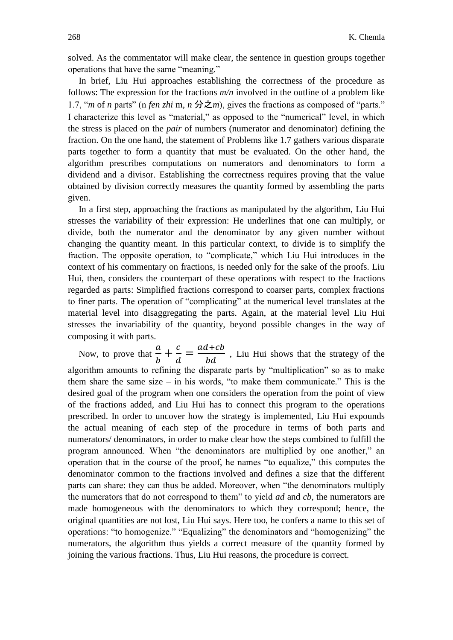solved. As the commentator will make clear, the sentence in question groups together operations that have the same "meaning."

In brief, Liu Hui approaches establishing the correctness of the procedure as follows: The expression for the fractions *m/n* involved in the outline of a problem like 1.7, "*m* of *n* parts" (n *fen zhi* m, *n*  $\forall \nvert \lambda \geq m$ ), gives the fractions as composed of "parts." I characterize this level as "material," as opposed to the "numerical" level, in which the stress is placed on the *pair* of numbers (numerator and denominator) defining the fraction. On the one hand, the statement of Problems like 1.7 gathers various disparate parts together to form a quantity that must be evaluated. On the other hand, the algorithm prescribes computations on numerators and denominators to form a dividend and a divisor. Establishing the correctness requires proving that the value obtained by division correctly measures the quantity formed by assembling the parts given.

In a first step, approaching the fractions as manipulated by the algorithm, Liu Hui stresses the variability of their expression: He underlines that one can multiply, or divide, both the numerator and the denominator by any given number without changing the quantity meant. In this particular context, to divide is to simplify the fraction. The opposite operation, to "complicate," which Liu Hui introduces in the context of his commentary on fractions, is needed only for the sake of the proofs. Liu Hui, then, considers the counterpart of these operations with respect to the fractions regarded as parts: Simplified fractions correspond to coarser parts, complex fractions to finer parts. The operation of "complicating" at the numerical level translates at the material level into disaggregating the parts. Again, at the material level Liu Hui stresses the invariability of the quantity, beyond possible changes in the way of composing it with parts.

Now, to prove that  $\alpha$  $\frac{a}{b} + \frac{c}{d}$  $\frac{c}{d} = \frac{a}{b}$  $\boldsymbol{b}$ , Liu Hui shows that the strategy of the algorithm amounts to refining the disparate parts by "multiplication" so as to make them share the same size – in his words, "to make them communicate." This is the desired goal of the program when one considers the operation from the point of view of the fractions added, and Liu Hui has to connect this program to the operations prescribed. In order to uncover how the strategy is implemented, Liu Hui expounds the actual meaning of each step of the procedure in terms of both parts and numerators/ denominators, in order to make clear how the steps combined to fulfill the program announced. When "the denominators are multiplied by one another," an operation that in the course of the proof, he names "to equalize," this computes the denominator common to the fractions involved and defines a size that the different parts can share: they can thus be added. Moreover, when "the denominators multiply the numerators that do not correspond to them" to yield *ad* and *cb,* the numerators are made homogeneous with the denominators to which they correspond; hence, the original quantities are not lost, Liu Hui says. Here too, he confers a name to this set of operations: "to homogenize." "Equalizing" the denominators and "homogenizing" the numerators, the algorithm thus yields a correct measure of the quantity formed by joining the various fractions. Thus, Liu Hui reasons, the procedure is correct.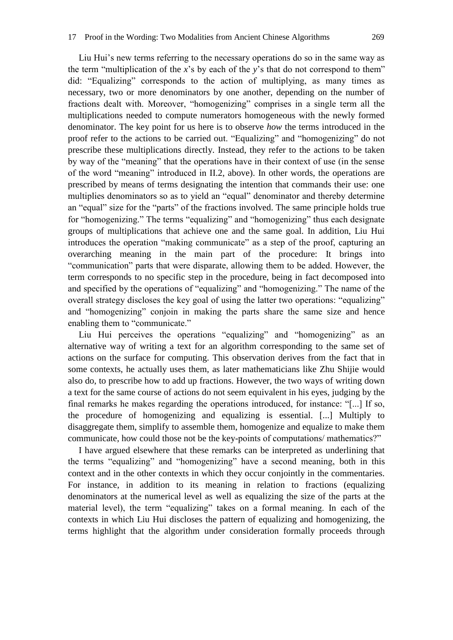Liu Hui's new terms referring to the necessary operations do so in the same way as the term "multiplication of the  $x$ 's by each of the  $y$ 's that do not correspond to them" did: "Equalizing" corresponds to the action of multiplying, as many times as necessary, two or more denominators by one another, depending on the number of fractions dealt with. Moreover, "homogenizing" comprises in a single term all the multiplications needed to compute numerators homogeneous with the newly formed denominator. The key point for us here is to observe *how* the terms introduced in the proof refer to the actions to be carried out. "Equalizing" and "homogenizing" do not prescribe these multiplications directly. Instead, they refer to the actions to be taken by way of the "meaning" that the operations have in their context of use (in the sense of the word "meaning" introduced in II.2, above). In other words, the operations are prescribed by means of terms designating the intention that commands their use: one multiplies denominators so as to yield an "equal" denominator and thereby determine an "equal" size for the "parts" of the fractions involved. The same principle holds true for "homogenizing." The terms "equalizing" and "homogenizing" thus each designate groups of multiplications that achieve one and the same goal. In addition, Liu Hui introduces the operation "making communicate" as a step of the proof, capturing an overarching meaning in the main part of the procedure: It brings into "communication" parts that were disparate, allowing them to be added. However, the term corresponds to no specific step in the procedure, being in fact decomposed into and specified by the operations of "equalizing" and "homogenizing." The name of the overall strategy discloses the key goal of using the latter two operations: "equalizing" and "homogenizing" conjoin in making the parts share the same size and hence enabling them to "communicate."

Liu Hui perceives the operations "equalizing" and "homogenizing" as an alternative way of writing a text for an algorithm corresponding to the same set of actions on the surface for computing. This observation derives from the fact that in some contexts, he actually uses them, as later mathematicians like Zhu Shijie would also do, to prescribe how to add up fractions. However, the two ways of writing down a text for the same course of actions do not seem equivalent in his eyes, judging by the final remarks he makes regarding the operations introduced, for instance: "[...] If so, the procedure of homogenizing and equalizing is essential. [...] Multiply to disaggregate them, simplify to assemble them, homogenize and equalize to make them communicate, how could those not be the key-points of computations/ mathematics?"

I have argued elsewhere that these remarks can be interpreted as underlining that the terms "equalizing" and "homogenizing" have a second meaning, both in this context and in the other contexts in which they occur conjointly in the commentaries. For instance, in addition to its meaning in relation to fractions (equalizing denominators at the numerical level as well as equalizing the size of the parts at the material level), the term "equalizing" takes on a formal meaning. In each of the contexts in which Liu Hui discloses the pattern of equalizing and homogenizing, the terms highlight that the algorithm under consideration formally proceeds through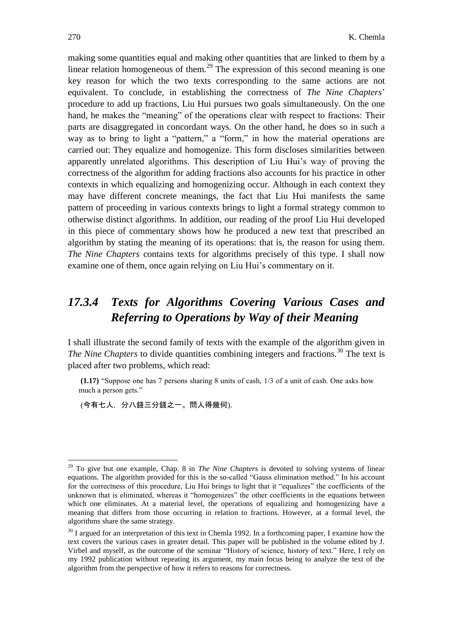making some quantities equal and making other quantities that are linked to them by a linear relation homogeneous of them.<sup>29</sup> The expression of this second meaning is one key reason for which the two texts corresponding to the same actions are not equivalent. To conclude, in establishing the correctness of *The Nine Chapters*' procedure to add up fractions, Liu Hui pursues two goals simultaneously. On the one hand, he makes the "meaning" of the operations clear with respect to fractions: Their parts are disaggregated in concordant ways. On the other hand, he does so in such a way as to bring to light a "pattern," a "form," in how the material operations are carried out: They equalize and homogenize. This form discloses similarities between apparently unrelated algorithms. This description of Liu Hui's way of proving the correctness of the algorithm for adding fractions also accounts for his practice in other contexts in which equalizing and homogenizing occur. Although in each context they may have different concrete meanings, the fact that Liu Hui manifests the same pattern of proceeding in various contexts brings to light a formal strategy common to otherwise distinct algorithms. In addition, our reading of the proof Liu Hui developed in this piece of commentary shows how he produced a new text that prescribed an algorithm by stating the meaning of its operations: that is, the reason for using them. *The Nine Chapters* contains texts for algorithms precisely of this type. I shall now examine one of them, once again relying on Liu Hui's commentary on it.

## *17.3.4 Texts for Algorithms Covering Various Cases and Referring to Operations by Way of their Meaning*

I shall illustrate the second family of texts with the example of the algorithm given in *The Nine Chapters* to divide quantities combining integers and fractions.<sup>30</sup> The text is placed after two problems, which read:

**(1.17)** "Suppose one has 7 persons sharing 8 units of cash, 1/3 of a unit of cash. One asks how much a person gets."

(今有七人,分八錢三分錢之一。問人得幾何).

<sup>29</sup> To give but one example, Chap. 8 in *The Nine Chapters* is devoted to solving systems of linear equations. The algorithm provided for this is the so-called "Gauss elimination method." In his account for the correctness of this procedure, Liu Hui brings to light that it "equalizes" the coefficients of the unknown that is eliminated, whereas it "homogenizes" the other coefficients in the equations between which one eliminates. At a material level, the operations of equalizing and homogenizing have a meaning that differs from those occurring in relation to fractions. However, at a formal level, the algorithms share the same strategy.

 $30$  I argued for an interpretation of this text in Chemla 1992. In a forthcoming paper, I examine how the text covers the various cases in greater detail. This paper will be published in the volume edited by J. Virbel and myself, as the outcome of the seminar "History of science, history of text." Here, I rely on my 1992 publication without repeating its argument, my main focus being to analyze the text of the algorithm from the perspective of how it refers to reasons for correctness.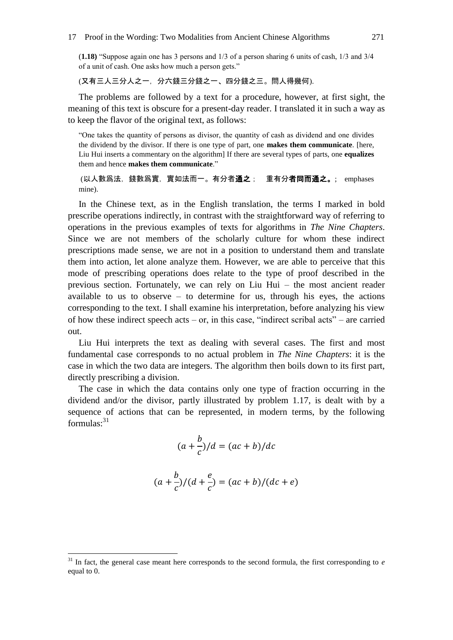(**1.18)** "Suppose again one has 3 persons and 1/3 of a person sharing 6 units of cash, 1/3 and 3/4 of a unit of cash. One asks how much a person gets."

#### (又有三人三分人之一,分六錢三分錢之一、四分錢之三。問人得幾何).

The problems are followed by a text for a procedure, however, at first sight, the meaning of this text is obscure for a present-day reader. I translated it in such a way as to keep the flavor of the original text, as follows:

"One takes the quantity of persons as divisor, the quantity of cash as dividend and one divides the dividend by the divisor. If there is one type of part, one **makes them communicate**. [here, Liu Hui inserts a commentary on the algorithm] If there are several types of parts, one **equalizes**  them and hence **makes them communicate**."

(以人數爲法,錢數爲實,實如法而一。有分者**通之**; 重有分者同而通之。; emphases mine).

In the Chinese text, as in the English translation, the terms I marked in bold prescribe operations indirectly, in contrast with the straightforward way of referring to operations in the previous examples of texts for algorithms in *The Nine Chapters*. Since we are not members of the scholarly culture for whom these indirect prescriptions made sense, we are not in a position to understand them and translate them into action, let alone analyze them. However, we are able to perceive that this mode of prescribing operations does relate to the type of proof described in the previous section. Fortunately, we can rely on Liu Hui – the most ancient reader available to us to observe – to determine for us, through his eyes, the actions corresponding to the text. I shall examine his interpretation, before analyzing his view of how these indirect speech acts – or, in this case, "indirect scribal acts" – are carried out.

Liu Hui interprets the text as dealing with several cases. The first and most fundamental case corresponds to no actual problem in *The Nine Chapters*: it is the case in which the two data are integers. The algorithm then boils down to its first part, directly prescribing a division.

The case in which the data contains only one type of fraction occurring in the dividend and/or the divisor, partly illustrated by problem 1.17, is dealt with by a sequence of actions that can be represented, in modern terms, by the following formulas: $31$ 

$$
(a+\frac{b}{c})/d=(ac+b)/dc
$$

$$
(a+\frac{b}{c})/(d+\frac{e}{c}) = (ac+b)/(dc+e)
$$

<sup>&</sup>lt;sup>31</sup> In fact, the general case meant here corresponds to the second formula, the first corresponding to *e* equal to 0.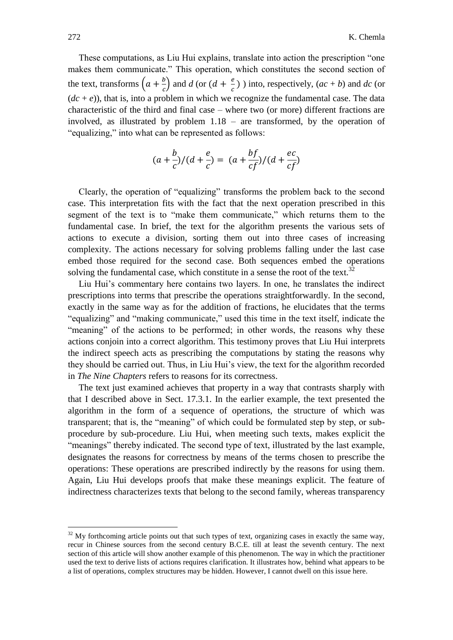These computations, as Liu Hui explains, translate into action the prescription "one makes them communicate." This operation, which constitutes the second section of the text, transforms  $\left(a + \frac{b}{a}\right)$  $\frac{b}{c}$  and *d* (or  $\left(d + \frac{e}{c}\right)$  $\frac{e}{c}$ ) into, respectively,  $(ac + b)$  and *dc* (or  $(dc + e)$ ), that is, into a problem in which we recognize the fundamental case. The data characteristic of the third and final case – where two (or more) different fractions are involved, as illustrated by problem 1.18 – are transformed, by the operation of "equalizing," into what can be represented as follows:

$$
(a+\frac{b}{c})/(d+\frac{e}{c}) = (a+\frac{bf}{cf})/(d+\frac{ec}{cf})
$$

Clearly, the operation of "equalizing" transforms the problem back to the second case. This interpretation fits with the fact that the next operation prescribed in this segment of the text is to "make them communicate," which returns them to the fundamental case. In brief, the text for the algorithm presents the various sets of actions to execute a division, sorting them out into three cases of increasing complexity. The actions necessary for solving problems falling under the last case embed those required for the second case. Both sequences embed the operations solving the fundamental case, which constitute in a sense the root of the text.<sup>32</sup>

Liu Hui's commentary here contains two layers. In one, he translates the indirect prescriptions into terms that prescribe the operations straightforwardly. In the second, exactly in the same way as for the addition of fractions, he elucidates that the terms "equalizing" and "making communicate," used this time in the text itself, indicate the "meaning" of the actions to be performed; in other words, the reasons why these actions conjoin into a correct algorithm. This testimony proves that Liu Hui interprets the indirect speech acts as prescribing the computations by stating the reasons why they should be carried out. Thus, in Liu Hui's view, the text for the algorithm recorded in *The Nine Chapters* refers to reasons for its correctness.

The text just examined achieves that property in a way that contrasts sharply with that I described above in Sect. 17.3.1. In the earlier example, the text presented the algorithm in the form of a sequence of operations, the structure of which was transparent; that is, the "meaning" of which could be formulated step by step, or subprocedure by sub-procedure. Liu Hui, when meeting such texts, makes explicit the "meanings" thereby indicated. The second type of text, illustrated by the last example, designates the reasons for correctness by means of the terms chosen to prescribe the operations: These operations are prescribed indirectly by the reasons for using them. Again, Liu Hui develops proofs that make these meanings explicit. The feature of indirectness characterizes texts that belong to the second family, whereas transparency

 $32$  My forthcoming article points out that such types of text, organizing cases in exactly the same way, recur in Chinese sources from the second century B.C.E. till at least the seventh century. The next section of this article will show another example of this phenomenon. The way in which the practitioner used the text to derive lists of actions requires clarification. It illustrates how, behind what appears to be a list of operations, complex structures may be hidden. However, I cannot dwell on this issue here.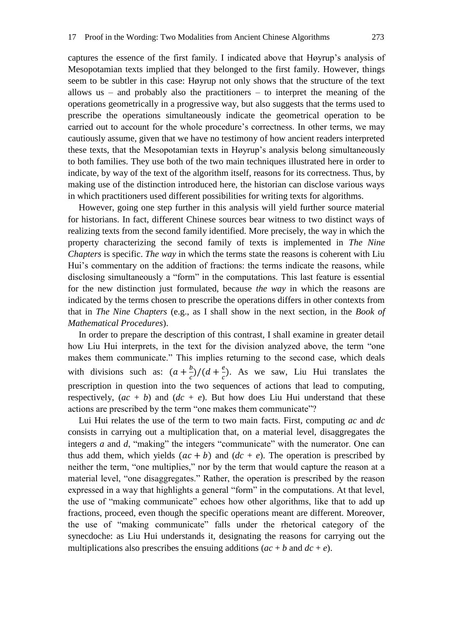captures the essence of the first family. I indicated above that Høyrup's analysis of Mesopotamian texts implied that they belonged to the first family. However, things seem to be subtler in this case: Høyrup not only shows that the structure of the text allows us – and probably also the practitioners – to interpret the meaning of the operations geometrically in a progressive way, but also suggests that the terms used to prescribe the operations simultaneously indicate the geometrical operation to be carried out to account for the whole procedure's correctness. In other terms, we may cautiously assume, given that we have no testimony of how ancient readers interpreted these texts, that the Mesopotamian texts in Høyrup's analysis belong simultaneously to both families. They use both of the two main techniques illustrated here in order to indicate, by way of the text of the algorithm itself, reasons for its correctness. Thus, by making use of the distinction introduced here, the historian can disclose various ways in which practitioners used different possibilities for writing texts for algorithms.

However, going one step further in this analysis will yield further source material for historians. In fact, different Chinese sources bear witness to two distinct ways of realizing texts from the second family identified. More precisely, the way in which the property characterizing the second family of texts is implemented in *The Nine Chapters* is specific. *The way* in which the terms state the reasons is coherent with Liu Hui's commentary on the addition of fractions: the terms indicate the reasons, while disclosing simultaneously a "form" in the computations. This last feature is essential for the new distinction just formulated, because *the way* in which the reasons are indicated by the terms chosen to prescribe the operations differs in other contexts from that in *The Nine Chapters* (e.g., as I shall show in the next section, in the *Book of Mathematical Procedures*).

In order to prepare the description of this contrast, I shall examine in greater detail how Liu Hui interprets, in the text for the division analyzed above, the term "one makes them communicate." This implies returning to the second case, which deals with divisions such as:  $(a + \frac{b}{a})$  $\frac{b}{c}$ )/(d +  $\frac{e}{c}$  $\frac{e}{c}$ ). As we saw, Liu Hui translates the prescription in question into the two sequences of actions that lead to computing, respectively,  $(ac + b)$  and  $(dc + e)$ . But how does Liu Hui understand that these actions are prescribed by the term "one makes them communicate"?

Lui Hui relates the use of the term to two main facts. First, computing *ac* and *dc*  consists in carrying out a multiplication that, on a material level, disaggregates the integers *a* and *d*, "making" the integers "communicate" with the numerator. One can thus add them, which yields  $(ac + b)$  and  $(dc + e)$ . The operation is prescribed by neither the term, "one multiplies," nor by the term that would capture the reason at a material level, "one disaggregates." Rather, the operation is prescribed by the reason expressed in a way that highlights a general "form" in the computations. At that level, the use of "making communicate" echoes how other algorithms, like that to add up fractions, proceed, even though the specific operations meant are different. Moreover, the use of "making communicate" falls under the rhetorical category of the synecdoche: as Liu Hui understands it, designating the reasons for carrying out the multiplications also prescribes the ensuing additions  $(ac + b$  and  $dc + e$ ).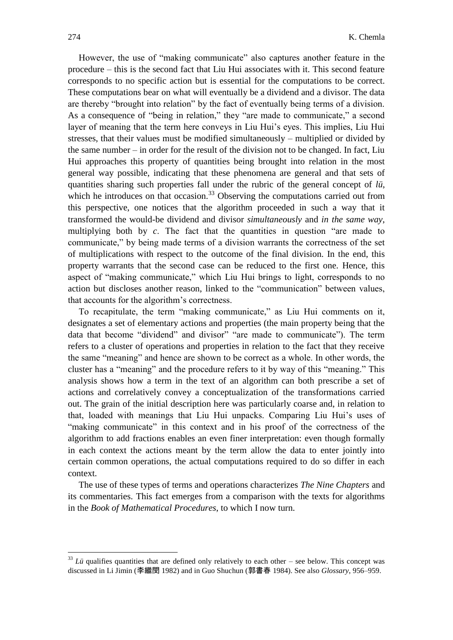However, the use of "making communicate" also captures another feature in the procedure – this is the second fact that Liu Hui associates with it. This second feature corresponds to no specific action but is essential for the computations to be correct. These computations bear on what will eventually be a dividend and a divisor. The data are thereby "brought into relation" by the fact of eventually being terms of a division. As a consequence of "being in relation," they "are made to communicate," a second layer of meaning that the term here conveys in Liu Hui's eyes. This implies, Liu Hui stresses, that their values must be modified simultaneously – multiplied or divided by the same number – in order for the result of the division not to be changed. In fact, Liu Hui approaches this property of quantities being brought into relation in the most general way possible, indicating that these phenomena are general and that sets of quantities sharing such properties fall under the rubric of the general concept of *lü*, which he introduces on that occasion. $33$  Observing the computations carried out from this perspective, one notices that the algorithm proceeded in such a way that it transformed the would-be dividend and divisor *simultaneously* and *in the same way*, multiplying both by *c*. The fact that the quantities in question "are made to communicate," by being made terms of a division warrants the correctness of the set of multiplications with respect to the outcome of the final division. In the end, this property warrants that the second case can be reduced to the first one. Hence, this aspect of "making communicate," which Liu Hui brings to light, corresponds to no action but discloses another reason, linked to the "communication" between values, that accounts for the algorithm's correctness.

To recapitulate, the term "making communicate," as Liu Hui comments on it, designates a set of elementary actions and properties (the main property being that the data that become "dividend" and divisor" "are made to communicate"). The term refers to a cluster of operations and properties in relation to the fact that they receive the same "meaning" and hence are shown to be correct as a whole. In other words, the cluster has a "meaning" and the procedure refers to it by way of this "meaning." This analysis shows how a term in the text of an algorithm can both prescribe a set of actions and correlatively convey a conceptualization of the transformations carried out. The grain of the initial description here was particularly coarse and, in relation to that, loaded with meanings that Liu Hui unpacks. Comparing Liu Hui's uses of "making communicate" in this context and in his proof of the correctness of the algorithm to add fractions enables an even finer interpretation: even though formally in each context the actions meant by the term allow the data to enter jointly into certain common operations, the actual computations required to do so differ in each context.

The use of these types of terms and operations characterizes *The Nine Chapters* and its commentaries. This fact emerges from a comparison with the texts for algorithms in the *Book of Mathematical Procedures*, to which I now turn.

 $33$  *Lü* qualifies quantities that are defined only relatively to each other – see below. This concept was discussed in Li Jimin (李繼閔 1982) and in Guo Shuchun (郭書春 1984). See also *Glossary*, 956–959.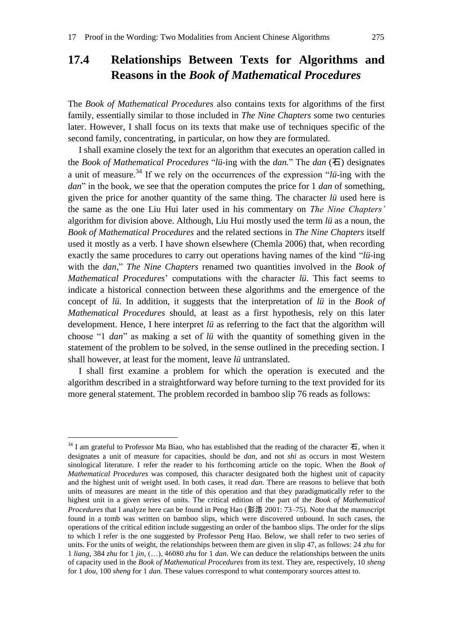### **17.4 Relationships Between Texts for Algorithms and Reasons in the** *Book of Mathematical Procedures*

The *Book of Mathematical Procedures* also contains texts for algorithms of the first family, essentially similar to those included in *The Nine Chapters* some two centuries later. However, I shall focus on its texts that make use of techniques specific of the second family, concentrating, in particular, on how they are formulated.

I shall examine closely the text for an algorithm that executes an operation called in the *Book of Mathematical Procedures* "*lü*-ing with the *dan.*" The *dan* (石) designates a unit of measure.<sup>34</sup> If we rely on the occurrences of the expression "*lü*-ing with the *dan*" in the book*,* we see that the operation computes the price for 1 *dan* of something, given the price for another quantity of the same thing. The character *lü* used here is the same as the one Liu Hui later used in his commentary on *The Nine Chapters'*  algorithm for division above. Although, Liu Hui mostly used the term *lü* as a noun, the *Book of Mathematical Procedures* and the related sections in *The Nine Chapters* itself used it mostly as a verb. I have shown elsewhere (Chemla 2006) that, when recording exactly the same procedures to carry out operations having names of the kind "*lü*-ing with the *dan*," *The Nine Chapters* renamed two quantities involved in the *Book of Mathematical Procedures*' computations with the character *lü*. This fact seems to indicate a historical connection between these algorithms and the emergence of the concept of *lü*. In addition, it suggests that the interpretation of *lü* in the *Book of Mathematical Procedures* should, at least as a first hypothesis, rely on this later development. Hence, I here interpret *lü* as referring to the fact that the algorithm will choose "1 *dan*" as making a set of *lü* with the quantity of something given in the statement of the problem to be solved, in the sense outlined in the preceding section. I shall however, at least for the moment, leave *lü* untranslated.

I shall first examine a problem for which the operation is executed and the algorithm described in a straightforward way before turning to the text provided for its more general statement. The problem recorded in bamboo slip 76 reads as follows:

 $34$  I am grateful to Professor Ma Biao, who has established that the reading of the character  $\overline{A}$ , when it designates a unit of measure for capacities, should be *dan*, and not *shi* as occurs in most Western sinological literature. I refer the reader to his forthcoming article on the topic. When the *Book of Mathematical Procedures* was composed, this character designated both the highest unit of capacity and the highest unit of weight used. In both cases, it read *dan*. There are reasons to believe that both units of measures are meant in the title of this operation and that they paradigmatically refer to the highest unit in a given series of units. The critical edition of the part of the *Book of Mathematical Procedures* that I analyze here can be found in Peng Hao (彭浩 2001: 73–75). Note that the manuscript found in a tomb was written on bamboo slips, which were discovered unbound. In such cases, the operations of the critical edition include suggesting an order of the bamboo slips. The order for the slips to which I refer is the one suggested by Professor Peng Hao. Below, we shall refer to two series of units. For the units of weight, the relationships between them are given in slip 47, as follows: 24 *zhu* for 1 *liang*, 384 *zhu* for 1 *jin,* (…), 46080 *zhu* for 1 *dan*. We can deduce the relationships between the units of capacity used in the *Book of Mathematical Procedures* from its text. They are, respectively, 10 *sheng*  for 1 *dou*, 100 *sheng* for 1 *dan.* These values correspond to what contemporary sources attest to.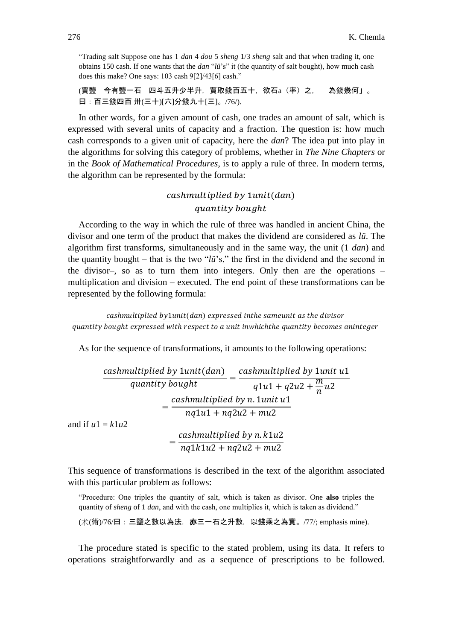"Trading salt Suppose one has 1 *dan* 4 *dou* 5 *sheng* 1/3 *sheng* salt and that when trading it, one obtains 150 cash. If one wants that the *dan* "*lü*'s" it (the quantity of salt bought), how much cash does this make? One says: 103 cash 9[2]/43[6] cash."

(賈鹽 今有鹽一石 四斗五升少半升,賈取錢百五十,欲石a(率)之, 為錢幾何」。 曰:百三錢四百 卅(三十)[六]分錢九十[三]。/76/).

In other words, for a given amount of cash, one trades an amount of salt, which is expressed with several units of capacity and a fraction. The question is: how much cash corresponds to a given unit of capacity, here the *dan*? The idea put into play in the algorithms for solving this category of problems, whether in *The Nine Chapters* or in the *Book of Mathematical Procedures*, is to apply a rule of three. In modern terms, the algorithm can be represented by the formula:

#### cashmultiplied by  $1unit(dan)$ *auantity bought*

According to the way in which the rule of three was handled in ancient China, the divisor and one term of the product that makes the dividend are considered as *lü*. The algorithm first transforms, simultaneously and in the same way, the unit (1 *dan*) and the quantity bought – that is the two "*lü*'s," the first in the dividend and the second in the divisor–, so as to turn them into integers. Only then are the operations – multiplication and division – executed. The end point of these transformations can be represented by the following formula:

cashmultiplied by1unit(dan) expressed inthe sameunit as the divisor quantity bought expressed with respect to a unit inwhichthe quantity becomes aninteger

As for the sequence of transformations, it amounts to the following operations:

 $\mathcal{C}_{0}^{0}$  $\overline{q}$  $=$  $\mathcal{C}_{0}^{(n)}$  $q1u1 + q2u2 + \frac{m}{n}$  $\frac{n}{n}u$  $=$  $\mathcal{C}_{0}^{0}$  $\boldsymbol{n}$ and if  $u1 = k1u2$  $=$  $\mathcal{C}$  $\boldsymbol{n}$ 

This sequence of transformations is described in the text of the algorithm associated with this particular problem as follows:

"Procedure: One triples the quantity of salt, which is taken as divisor. One **also** triples the quantity of *sheng* of 1 *dan*, and with the cash, one multiplies it, which is taken as dividend."

(术(術)/76/曰:三鹽之數以為法,亦三一石之升數,以錢乘之為實。/77/; emphasis mine).

The procedure stated is specific to the stated problem, using its data. It refers to operations straightforwardly and as a sequence of prescriptions to be followed.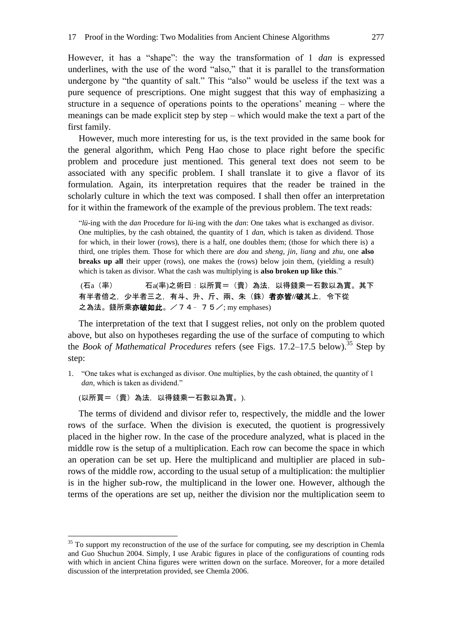However, it has a "shape": the way the transformation of 1 *dan* is expressed underlines, with the use of the word "also," that it is parallel to the transformation undergone by "the quantity of salt." This "also" would be useless if the text was a pure sequence of prescriptions. One might suggest that this way of emphasizing a structure in a sequence of operations points to the operations' meaning – where the meanings can be made explicit step by step – which would make the text a part of the first family.

However, much more interesting for us, is the text provided in the same book for the general algorithm, which Peng Hao chose to place right before the specific problem and procedure just mentioned. This general text does not seem to be associated with any specific problem. I shall translate it to give a flavor of its formulation. Again, its interpretation requires that the reader be trained in the scholarly culture in which the text was composed. I shall then offer an interpretation for it within the framework of the example of the previous problem. The text reads:

"*lü*-ing with the *dan* Procedure for *lü*-ing with the *dan*: One takes what is exchanged as divisor. One multiplies, by the cash obtained, the quantity of 1 *dan*, which is taken as dividend. Those for which, in their lower (rows), there is a half, one doubles them; (those for which there is) a third, one triples them. Those for which there are *dou* and *sheng*, *jin, liang* and *zhu*, one **also breaks up all** their upper (rows), one makes the (rows) below join them, (yielding a result) which is taken as divisor. What the cash was multiplying is **also broken up like this**."

(石a(率) 石a(率)之術曰:以所買=(賣)為法,以得錢乘一石數以為實。其下 有半者倍之,少半者三之,有斗、升、斤、兩、朱(銖)者亦皆**//**破其上,令下從 之為法。錢所乘亦破如此。/74-75/; my emphases)

The interpretation of the text that I suggest relies, not only on the problem quoted above, but also on hypotheses regarding the use of the surface of computing to which the *Book of Mathematical Procedures* refers (see Figs. 17.2–17.5 below).<sup>35</sup> Step by step:

1. "One takes what is exchanged as divisor. One multiplies, by the cash obtained, the quantity of 1 *dan*, which is taken as dividend."

(以所買=(賣)為法,以得錢乘一石數以為實。).

1

The terms of dividend and divisor refer to, respectively, the middle and the lower rows of the surface. When the division is executed, the quotient is progressively placed in the higher row. In the case of the procedure analyzed, what is placed in the middle row is the setup of a multiplication. Each row can become the space in which an operation can be set up. Here the multiplicand and multiplier are placed in subrows of the middle row, according to the usual setup of a multiplication: the multiplier is in the higher sub-row, the multiplicand in the lower one. However, although the terms of the operations are set up, neither the division nor the multiplication seem to

 $35$  To support my reconstruction of the use of the surface for computing, see my description in Chemla and Guo Shuchun 2004. Simply, I use Arabic figures in place of the configurations of counting rods with which in ancient China figures were written down on the surface. Moreover, for a more detailed discussion of the interpretation provided, see Chemla 2006.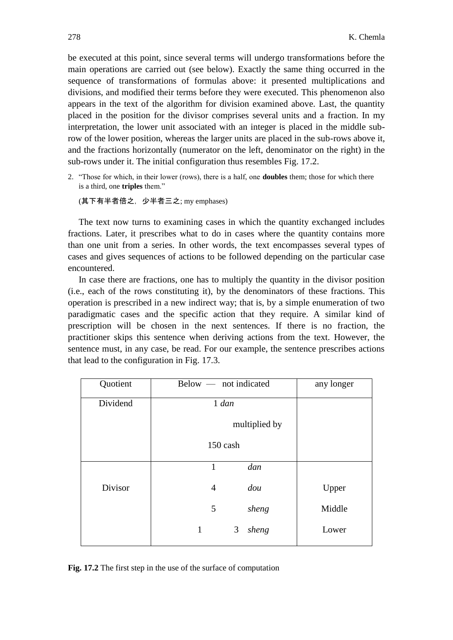be executed at this point, since several terms will undergo transformations before the main operations are carried out (see below). Exactly the same thing occurred in the sequence of transformations of formulas above: it presented multiplications and divisions, and modified their terms before they were executed. This phenomenon also appears in the text of the algorithm for division examined above. Last, the quantity placed in the position for the divisor comprises several units and a fraction. In my interpretation, the lower unit associated with an integer is placed in the middle subrow of the lower position, whereas the larger units are placed in the sub-rows above it, and the fractions horizontally (numerator on the left, denominator on the right) in the sub-rows under it. The initial configuration thus resembles Fig. 17.2.

2. "Those for which, in their lower (rows), there is a half, one **doubles** them; those for which there is a third, one **triples** them."

#### (其下有半者倍之,少半者三之; my emphases)

The text now turns to examining cases in which the quantity exchanged includes fractions. Later, it prescribes what to do in cases where the quantity contains more than one unit from a series. In other words, the text encompasses several types of cases and gives sequences of actions to be followed depending on the particular case encountered.

In case there are fractions, one has to multiply the quantity in the divisor position (i.e., each of the rows constituting it), by the denominators of these fractions. This operation is prescribed in a new indirect way; that is, by a simple enumeration of two paradigmatic cases and the specific action that they require. A similar kind of prescription will be chosen in the next sentences. If there is no fraction, the practitioner skips this sentence when deriving actions from the text. However, the sentence must, in any case, be read. For our example, the sentence prescribes actions that lead to the configuration in Fig. 17.3.

| Quotient | Below — not indicated      | any longer |
|----------|----------------------------|------------|
| Dividend | $1$ dan                    |            |
|          | multiplied by              |            |
|          | 150 cash                   |            |
|          | 1<br>dan                   |            |
| Divisor  | $\overline{4}$<br>dou      | Upper      |
|          | 5<br>sheng                 | Middle     |
|          | $\mathbf{1}$<br>3<br>sheng | Lower      |

**Fig. 17.2** The first step in the use of the surface of computation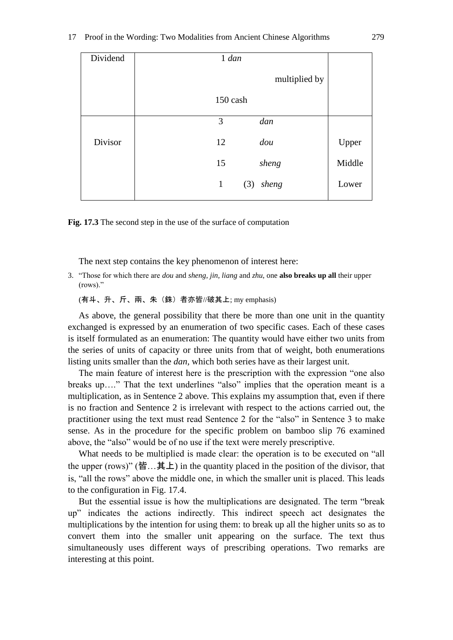| Dividend | $1$ dan                      |        |
|----------|------------------------------|--------|
|          | multiplied by                |        |
|          | 150 cash                     |        |
|          | 3<br>dan                     |        |
| Divisor  | 12<br>dou                    | Upper  |
|          | 15<br>sheng                  | Middle |
|          | $\mathbf{1}$<br>sheng<br>(3) | Lower  |

**Fig. 17.3** The second step in the use of the surface of computation

The next step contains the key phenomenon of interest here:

3. "Those for which there are *dou* and *sheng*, *jin*, *liang* and *zhu*, one **also breaks up all** their upper (rows)."

(有斗、升、斤、兩、朱(銖)者亦皆//破其上; my emphasis)

As above, the general possibility that there be more than one unit in the quantity exchanged is expressed by an enumeration of two specific cases. Each of these cases is itself formulated as an enumeration: The quantity would have either two units from the series of units of capacity or three units from that of weight, both enumerations listing units smaller than the *dan,* which both series have as their largest unit.

The main feature of interest here is the prescription with the expression "one also breaks up…." That the text underlines "also" implies that the operation meant is a multiplication, as in Sentence 2 above. This explains my assumption that, even if there is no fraction and Sentence 2 is irrelevant with respect to the actions carried out, the practitioner using the text must read Sentence 2 for the "also" in Sentence 3 to make sense. As in the procedure for the specific problem on bamboo slip 76 examined above, the "also" would be of no use if the text were merely prescriptive.

What needs to be multiplied is made clear: the operation is to be executed on "all the upper (rows)" (皆…其上) in the quantity placed in the position of the divisor, that is, "all the rows" above the middle one, in which the smaller unit is placed. This leads to the configuration in Fig. 17.4.

But the essential issue is how the multiplications are designated. The term "break up" indicates the actions indirectly. This indirect speech act designates the multiplications by the intention for using them: to break up all the higher units so as to convert them into the smaller unit appearing on the surface. The text thus simultaneously uses different ways of prescribing operations. Two remarks are interesting at this point.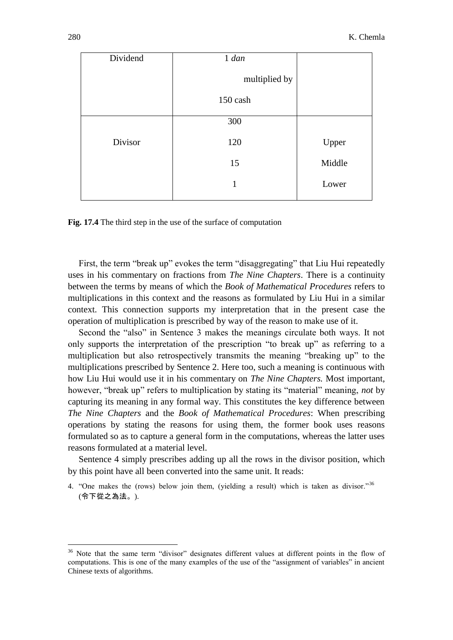| Dividend | $1$ dan       |        |
|----------|---------------|--------|
|          | multiplied by |        |
|          | 150 cash      |        |
|          | 300           |        |
| Divisor  | 120           | Upper  |
|          | 15            | Middle |
|          | 1             | Lower  |

**Fig. 17.4** The third step in the use of the surface of computation

First, the term "break up" evokes the term "disaggregating" that Liu Hui repeatedly uses in his commentary on fractions from *The Nine Chapters*. There is a continuity between the terms by means of which the *Book of Mathematical Procedures* refers to multiplications in this context and the reasons as formulated by Liu Hui in a similar context. This connection supports my interpretation that in the present case the operation of multiplication is prescribed by way of the reason to make use of it.

Second the "also" in Sentence 3 makes the meanings circulate both ways. It not only supports the interpretation of the prescription "to break up" as referring to a multiplication but also retrospectively transmits the meaning "breaking up" to the multiplications prescribed by Sentence 2. Here too, such a meaning is continuous with how Liu Hui would use it in his commentary on *The Nine Chapters.* Most important, however, "break up" refers to multiplication by stating its "material" meaning, *not* by capturing its meaning in any formal way. This constitutes the key difference between *The Nine Chapters* and the *Book of Mathematical Procedures*: When prescribing operations by stating the reasons for using them, the former book uses reasons formulated so as to capture a general form in the computations, whereas the latter uses reasons formulated at a material level.

Sentence 4 simply prescribes adding up all the rows in the divisor position, which by this point have all been converted into the same unit. It reads:

4. "One makes the (rows) below join them, (yielding a result) which is taken as divisor."<sup>36</sup> (令下從之為法。).

<sup>&</sup>lt;sup>36</sup> Note that the same term "divisor" designates different values at different points in the flow of computations. This is one of the many examples of the use of the "assignment of variables" in ancient Chinese texts of algorithms.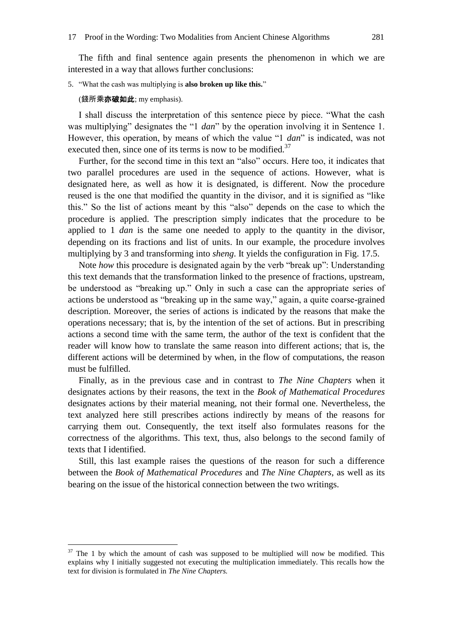The fifth and final sentence again presents the phenomenon in which we are interested in a way that allows further conclusions:

5. "What the cash was multiplying is **also broken up like this.**"

(錢所乘**亦破如此**; my emphasis).

1

I shall discuss the interpretation of this sentence piece by piece. "What the cash was multiplying" designates the "1 *dan*" by the operation involving it in Sentence 1. However, this operation, by means of which the value "1 *dan*" is indicated, was not executed then, since one of its terms is now to be modified. $37$ 

Further, for the second time in this text an "also" occurs. Here too, it indicates that two parallel procedures are used in the sequence of actions. However, what is designated here, as well as how it is designated, is different. Now the procedure reused is the one that modified the quantity in the divisor, and it is signified as "like this." So the list of actions meant by this "also" depends on the case to which the procedure is applied. The prescription simply indicates that the procedure to be applied to 1 *dan* is the same one needed to apply to the quantity in the divisor, depending on its fractions and list of units. In our example, the procedure involves multiplying by 3 and transforming into *sheng*. It yields the configuration in Fig. 17.5.

Note *how* this procedure is designated again by the verb "break up": Understanding this text demands that the transformation linked to the presence of fractions, upstream, be understood as "breaking up." Only in such a case can the appropriate series of actions be understood as "breaking up in the same way," again, a quite coarse-grained description. Moreover, the series of actions is indicated by the reasons that make the operations necessary; that is, by the intention of the set of actions. But in prescribing actions a second time with the same term, the author of the text is confident that the reader will know how to translate the same reason into different actions; that is, the different actions will be determined by when, in the flow of computations, the reason must be fulfilled.

Finally, as in the previous case and in contrast to *The Nine Chapters* when it designates actions by their reasons, the text in the *Book of Mathematical Procedures*  designates actions by their material meaning, not their formal one. Nevertheless, the text analyzed here still prescribes actions indirectly by means of the reasons for carrying them out. Consequently, the text itself also formulates reasons for the correctness of the algorithms. This text, thus, also belongs to the second family of texts that I identified.

Still, this last example raises the questions of the reason for such a difference between the *Book of Mathematical Procedures* and *The Nine Chapters*, as well as its bearing on the issue of the historical connection between the two writings.

 $37$  The 1 by which the amount of cash was supposed to be multiplied will now be modified. This explains why I initially suggested not executing the multiplication immediately. This recalls how the text for division is formulated in *The Nine Chapters.*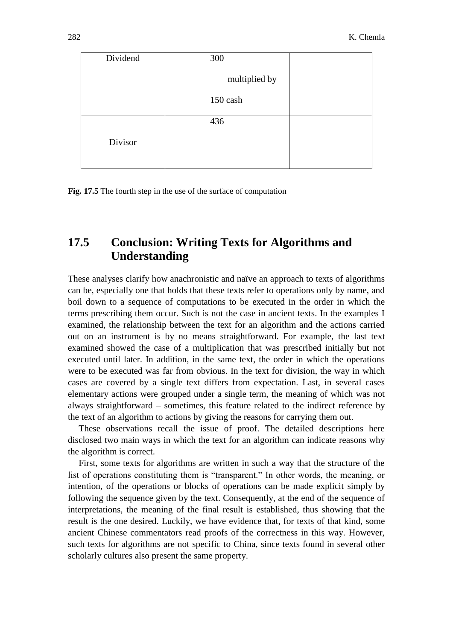| Dividend | 300           |  |
|----------|---------------|--|
|          | multiplied by |  |
|          | 150 cash      |  |
|          | 436           |  |
| Divisor  |               |  |
|          |               |  |

**Fig. 17.5** The fourth step in the use of the surface of computation

### **17.5 Conclusion: Writing Texts for Algorithms and Understanding**

These analyses clarify how anachronistic and naïve an approach to texts of algorithms can be, especially one that holds that these texts refer to operations only by name, and boil down to a sequence of computations to be executed in the order in which the terms prescribing them occur. Such is not the case in ancient texts. In the examples I examined, the relationship between the text for an algorithm and the actions carried out on an instrument is by no means straightforward. For example, the last text examined showed the case of a multiplication that was prescribed initially but not executed until later. In addition, in the same text, the order in which the operations were to be executed was far from obvious. In the text for division, the way in which cases are covered by a single text differs from expectation. Last, in several cases elementary actions were grouped under a single term, the meaning of which was not always straightforward – sometimes, this feature related to the indirect reference by the text of an algorithm to actions by giving the reasons for carrying them out.

These observations recall the issue of proof. The detailed descriptions here disclosed two main ways in which the text for an algorithm can indicate reasons why the algorithm is correct.

First, some texts for algorithms are written in such a way that the structure of the list of operations constituting them is "transparent." In other words, the meaning, or intention, of the operations or blocks of operations can be made explicit simply by following the sequence given by the text. Consequently, at the end of the sequence of interpretations, the meaning of the final result is established, thus showing that the result is the one desired. Luckily, we have evidence that, for texts of that kind, some ancient Chinese commentators read proofs of the correctness in this way. However, such texts for algorithms are not specific to China, since texts found in several other scholarly cultures also present the same property.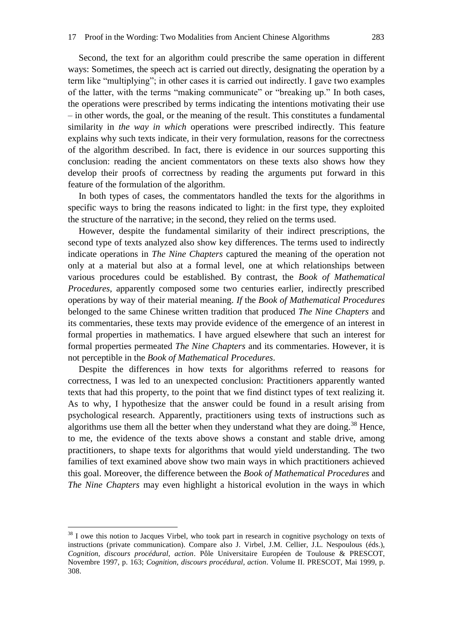Second, the text for an algorithm could prescribe the same operation in different ways: Sometimes, the speech act is carried out directly, designating the operation by a term like "multiplying"; in other cases it is carried out indirectly. I gave two examples of the latter, with the terms "making communicate" or "breaking up." In both cases, the operations were prescribed by terms indicating the intentions motivating their use – in other words, the goal, or the meaning of the result. This constitutes a fundamental similarity in *the way in which* operations were prescribed indirectly. This feature explains why such texts indicate, in their very formulation, reasons for the correctness of the algorithm described. In fact, there is evidence in our sources supporting this conclusion: reading the ancient commentators on these texts also shows how they develop their proofs of correctness by reading the arguments put forward in this feature of the formulation of the algorithm.

In both types of cases, the commentators handled the texts for the algorithms in specific ways to bring the reasons indicated to light: in the first type, they exploited the structure of the narrative; in the second, they relied on the terms used.

However, despite the fundamental similarity of their indirect prescriptions, the second type of texts analyzed also show key differences. The terms used to indirectly indicate operations in *The Nine Chapters* captured the meaning of the operation not only at a material but also at a formal level, one at which relationships between various procedures could be established. By contrast, the *Book of Mathematical Procedures*, apparently composed some two centuries earlier, indirectly prescribed operations by way of their material meaning. *If* the *Book of Mathematical Procedures*  belonged to the same Chinese written tradition that produced *The Nine Chapters* and its commentaries, these texts may provide evidence of the emergence of an interest in formal properties in mathematics. I have argued elsewhere that such an interest for formal properties permeated *The Nine Chapters* and its commentaries. However, it is not perceptible in the *Book of Mathematical Procedures*.

Despite the differences in how texts for algorithms referred to reasons for correctness, I was led to an unexpected conclusion: Practitioners apparently wanted texts that had this property, to the point that we find distinct types of text realizing it. As to why, I hypothesize that the answer could be found in a result arising from psychological research. Apparently, practitioners using texts of instructions such as algorithms use them all the better when they understand what they are doing.<sup>38</sup> Hence, to me, the evidence of the texts above shows a constant and stable drive, among practitioners, to shape texts for algorithms that would yield understanding. The two families of text examined above show two main ways in which practitioners achieved this goal. Moreover, the difference between the *Book of Mathematical Procedures* and *The Nine Chapters* may even highlight a historical evolution in the ways in which

<sup>&</sup>lt;sup>38</sup> I owe this notion to Jacques Virbel, who took part in research in cognitive psychology on texts of instructions (private communication). Compare also J. Virbel, J.M. Cellier, J.L. Nespoulous (éds.), *Cognition, discours procédural, action*. Pôle Universitaire Européen de Toulouse & PRESCOT, Novembre 1997, p. 163; *Cognition, discours procédural, action*. Volume II. PRESCOT, Mai 1999, p. 308.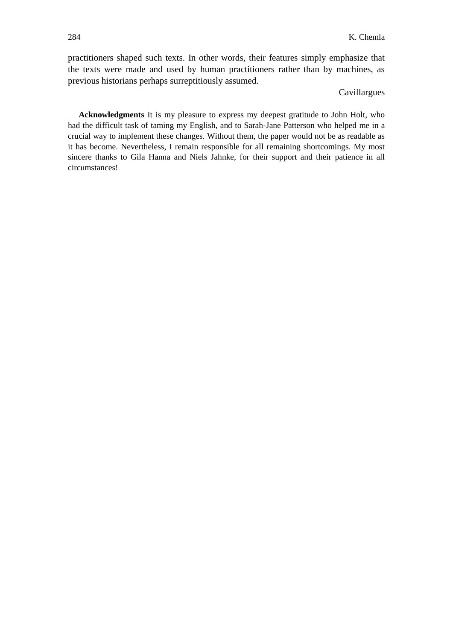practitioners shaped such texts. In other words, their features simply emphasize that the texts were made and used by human practitioners rather than by machines, as previous historians perhaps surreptitiously assumed.

Cavillargues

**Acknowledgments** It is my pleasure to express my deepest gratitude to John Holt, who had the difficult task of taming my English, and to Sarah-Jane Patterson who helped me in a crucial way to implement these changes. Without them, the paper would not be as readable as it has become. Nevertheless, I remain responsible for all remaining shortcomings. My most sincere thanks to Gila Hanna and Niels Jahnke, for their support and their patience in all circumstances!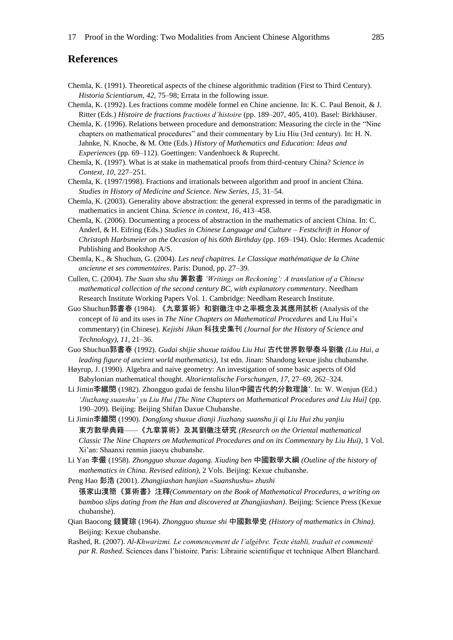#### **References**

- Chemla, K. (1991). Theoretical aspects of the chinese algorithmic tradition (First to Third Century). *Historia Scientiarum, 42,* 75–98; Errata in the following issue.
- Chemla, K. (1992). Les fractions comme modèle formel en Chine ancienne. In: K. C. Paul Benoit, & J. Ritter (Eds.) *Histoire de fractions fractions d'histoire* (pp. 189–207, 405, 410). Basel: Birkhäuser.
- Chemla, K. (1996). Relations between procedure and demonstration: Measuring the circle in the "Nine chapters on mathematical procedures" and their commentary by Liu Hiu (3rd century). In: H. N. Jahnke, N. Knoche, & M. Otte (Eds.) *History of Mathematics and Education: Ideas and Experiences* (pp. 69–112). Goettingen: Vandenhoeck & Ruprecht.
- Chemla, K. (1997). What is at stake in mathematical proofs from third-century China? *Science in Context*, *10,* 227–251.
- Chemla, K. (1997/1998). Fractions and irrationals between algorithm and proof in ancient China. *Studies in History of Medicine and Science. New Series*, *15,* 31–54.
- Chemla, K. (2003). Generality above abstraction: the general expressed in terms of the paradigmatic in mathematics in ancient China. *Science in context, 16*, 413–458.
- Chemla, K. (2006). Documenting a process of abstraction in the mathematics of ancient China. In: C. Anderl, & H. Eifring (Eds.) *Studies in Chinese Language and Culture – Festschrift in Honor of Christoph Harbsmeier on the Occasion of his 60th Birthday* (pp. 169–194). Oslo: Hermes Academic Publishing and Bookshop A/S.
- Chemla, K., & Shuchun, G. (2004). *Les neuf chapitres. Le Classique mathématique de la Chine ancienne et ses commentaires*. Paris: Dunod, pp. 27–39.
- Cullen, C. (2004). *The Suan shu shu* 筭數書 *'Writings on Reckoning': A translation of a Chinese mathematical collection of the second century BC, with explanatory commentary*. Needham Research Institute Working Papers Vol. 1. Cambridge: Needham Research Institute.
- Guo Shuchun郭書春 (1984). 《九章算術》和劉徽注中之率概念及其應用試析 (Analysis of the concept of *lü* and its uses in *The Nine Chapters on Mathematical Procedures* and Liu Hui's commentary) (in Chinese). *Kejishi Jikan* 科技史集刊 *(Journal for the History of Science and Technology)*, *11*, 21–36.
- Guo Shuchun郭書春 (1992). *Gudai shijie shuxue taidou Liu Hui* 古代世界數學泰斗劉徽 *(Liu Hui, a leading figure of ancient world mathematics)*, 1st edn. Jinan: Shandong kexue jishu chubanshe.
- Høyrup, J. (1990). Algebra and naive geometry: An investigation of some basic aspects of Old Babylonian mathematical thought. *Altorientalische Forschungen*, *17,* 27–69, 262–324.
- Li Jimin李繼閔 (1982). Zhongguo gudai de fenshu lilun中國古代的分數理論'. In: W. Wenjun (Ed.) *'Jiuzhang suanshu' yu Liu Hui [The Nine Chapters on Mathematical Procedures and Liu Hui]* (pp. 190–209). Beijing: Beijing Shifan Daxue Chubanshe.
- Li Jimin李繼閔 (1990). *Dongfang shuxue dianji Jiuzhang suanshu ji qi Liu Hui zhu yanjiu*  東方數學典籍*——*《九章算術》及其劉徽注研究 *(Research on the Oriental mathematical Classic The Nine Chapters on Mathematical Procedures and on its Commentary by Liu Hui)*, 1 Vol. Xi'an: Shaanxi renmin jiaoyu chubanshe.
- Li Yan 李儼 (1958). *Zhongguo shuxue dagang. Xiuding ben* 中國數學大綱 *(Outline of the history of mathematics in China. Revised edition)*, 2 Vols. Beijing: Kexue chubanshe.
- Peng Hao 彭浩 (2001). *Zhangjiashan hanjian «Suanshushu» zhushi*  張家山漢簡《算術書》注釋*(Commentary on the Book of Mathematical Procedures, a writing on bamboo slips dating from the Han and discovered at Zhangjiashan)*. Beijing: Science Press (Kexue chubanshe).
- Qian Baocong 錢寶琮 (1964). *Zhongguo shuxue shi* 中國數學史 *(History of mathematics in China)*. Beijing: Kexue chubanshe.
- Rashed, R. (2007). *Al-Khwarizmi. Le commencement de l'algèbre. Texte établi, traduit et commenté par R. Rashed*. Sciences dans l'histoire. Paris: Librairie scientifique et technique Albert Blanchard.